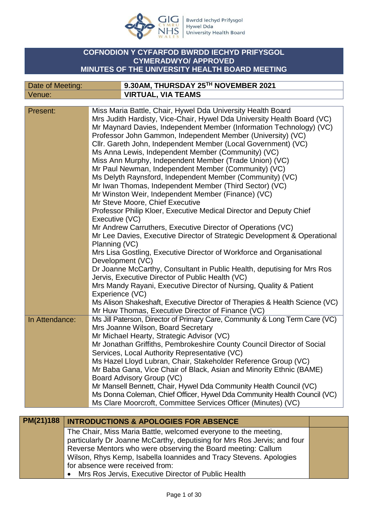

Bwrdd Iechyd Prifysgol<br>Hywel Dda<br>University Health Board

### **COFNODION Y CYFARFOD BWRDD IECHYD PRIFYSGOL CYMERADWYO/ APPROVED MINUTES OF THE UNIVERSITY HEALTH BOARD MEETING**

| Date of Meeting: | 9.30AM, THURSDAY 25TH NOVEMBER 2021 |
|------------------|-------------------------------------|
| Venue:           | <b>VIRTUAL, VIA TEAMS</b>           |

| Present:       | Miss Maria Battle, Chair, Hywel Dda University Health Board                 |
|----------------|-----------------------------------------------------------------------------|
|                | Mrs Judith Hardisty, Vice-Chair, Hywel Dda University Health Board (VC)     |
|                | Mr Maynard Davies, Independent Member (Information Technology) (VC)         |
|                | Professor John Gammon, Independent Member (University) (VC)                 |
|                | Cllr. Gareth John, Independent Member (Local Government) (VC)               |
|                | Ms Anna Lewis, Independent Member (Community) (VC)                          |
|                | Miss Ann Murphy, Independent Member (Trade Union) (VC)                      |
|                | Mr Paul Newman, Independent Member (Community) (VC)                         |
|                | Ms Delyth Raynsford, Independent Member (Community) (VC)                    |
|                |                                                                             |
|                | Mr Iwan Thomas, Independent Member (Third Sector) (VC)                      |
|                | Mr Winston Weir, Independent Member (Finance) (VC)                          |
|                | Mr Steve Moore, Chief Executive                                             |
|                | Professor Philip Kloer, Executive Medical Director and Deputy Chief         |
|                | Executive (VC)                                                              |
|                | Mr Andrew Carruthers, Executive Director of Operations (VC)                 |
|                | Mr Lee Davies, Executive Director of Strategic Development & Operational    |
|                | Planning (VC)                                                               |
|                | Mrs Lisa Gostling, Executive Director of Workforce and Organisational       |
|                | Development (VC)                                                            |
|                | Dr Joanne McCarthy, Consultant in Public Health, deputising for Mrs Ros     |
|                | Jervis, Executive Director of Public Health (VC)                            |
|                | Mrs Mandy Rayani, Executive Director of Nursing, Quality & Patient          |
|                | Experience (VC)                                                             |
|                | Ms Alison Shakeshaft, Executive Director of Therapies & Health Science (VC) |
|                | Mr Huw Thomas, Executive Director of Finance (VC)                           |
| In Attendance: | Ms Jill Paterson, Director of Primary Care, Community & Long Term Care (VC) |
|                | Mrs Joanne Wilson, Board Secretary                                          |
|                | Mr Michael Hearty, Strategic Advisor (VC)                                   |
|                | Mr Jonathan Griffiths, Pembrokeshire County Council Director of Social      |
|                | Services, Local Authority Representative (VC)                               |
|                | Ms Hazel Lloyd Lubran, Chair, Stakeholder Reference Group (VC)              |
|                | Mr Baba Gana, Vice Chair of Black, Asian and Minority Ethnic (BAME)         |
|                | Board Advisory Group (VC)                                                   |
|                | Mr Mansell Bennett, Chair, Hywel Dda Community Health Council (VC)          |
|                | Ms Donna Coleman, Chief Officer, Hywel Dda Community Health Council (VC)    |
|                |                                                                             |
|                | Ms Clare Moorcroft, Committee Services Officer (Minutes) (VC)               |

| PM(21)188   INTRODUCTIONS & APOLOGIES FOR ABSENCE                        |  |
|--------------------------------------------------------------------------|--|
| The Chair, Miss Maria Battle, welcomed everyone to the meeting,          |  |
| particularly Dr Joanne McCarthy, deputising for Mrs Ros Jervis; and four |  |
| Reverse Mentors who were observing the Board meeting: Callum             |  |
| Wilson, Rhys Kemp, Isabella Ioannides and Tracy Stevens. Apologies       |  |
| for absence were received from:                                          |  |
| Mrs Ros Jervis, Executive Director of Public Health<br>$\bullet$         |  |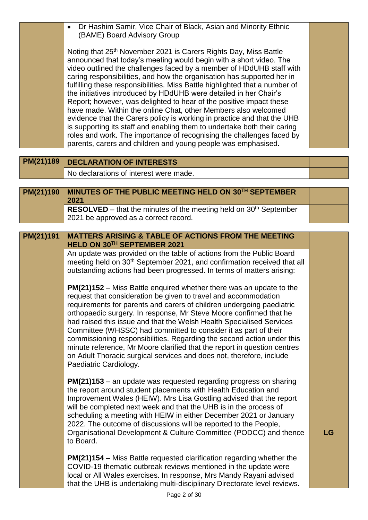|           | Dr Hashim Samir, Vice Chair of Black, Asian and Minority Ethnic<br>(BAME) Board Advisory Group                                                                                                                                                                                                                                                                                                                                                                                                                                                                                                                                                                                                                                                                                                                                                                                                     |    |
|-----------|----------------------------------------------------------------------------------------------------------------------------------------------------------------------------------------------------------------------------------------------------------------------------------------------------------------------------------------------------------------------------------------------------------------------------------------------------------------------------------------------------------------------------------------------------------------------------------------------------------------------------------------------------------------------------------------------------------------------------------------------------------------------------------------------------------------------------------------------------------------------------------------------------|----|
|           | Noting that 25 <sup>th</sup> November 2021 is Carers Rights Day, Miss Battle<br>announced that today's meeting would begin with a short video. The<br>video outlined the challenges faced by a member of HDdUHB staff with<br>caring responsibilities, and how the organisation has supported her in<br>fulfilling these responsibilities. Miss Battle highlighted that a number of<br>the initiatives introduced by HDdUHB were detailed in her Chair's<br>Report; however, was delighted to hear of the positive impact these<br>have made. Within the online Chat, other Members also welcomed<br>evidence that the Carers policy is working in practice and that the UHB<br>is supporting its staff and enabling them to undertake both their caring<br>roles and work. The importance of recognising the challenges faced by<br>parents, carers and children and young people was emphasised. |    |
| PM(21)189 | <b>DECLARATION OF INTERESTS</b>                                                                                                                                                                                                                                                                                                                                                                                                                                                                                                                                                                                                                                                                                                                                                                                                                                                                    |    |
|           | No declarations of interest were made.                                                                                                                                                                                                                                                                                                                                                                                                                                                                                                                                                                                                                                                                                                                                                                                                                                                             |    |
| PM(21)190 | MINUTES OF THE PUBLIC MEETING HELD ON 30TH SEPTEMBER                                                                                                                                                                                                                                                                                                                                                                                                                                                                                                                                                                                                                                                                                                                                                                                                                                               |    |
|           | 2021                                                                                                                                                                                                                                                                                                                                                                                                                                                                                                                                                                                                                                                                                                                                                                                                                                                                                               |    |
|           | <b>RESOLVED</b> – that the minutes of the meeting held on $30th$ September                                                                                                                                                                                                                                                                                                                                                                                                                                                                                                                                                                                                                                                                                                                                                                                                                         |    |
|           | 2021 be approved as a correct record.                                                                                                                                                                                                                                                                                                                                                                                                                                                                                                                                                                                                                                                                                                                                                                                                                                                              |    |
| PM(21)191 | <b>MATTERS ARISING &amp; TABLE OF ACTIONS FROM THE MEETING</b>                                                                                                                                                                                                                                                                                                                                                                                                                                                                                                                                                                                                                                                                                                                                                                                                                                     |    |
|           | HELD ON 30TH SEPTEMBER 2021                                                                                                                                                                                                                                                                                                                                                                                                                                                                                                                                                                                                                                                                                                                                                                                                                                                                        |    |
|           | An update was provided on the table of actions from the Public Board<br>meeting held on 30 <sup>th</sup> September 2021, and confirmation received that all                                                                                                                                                                                                                                                                                                                                                                                                                                                                                                                                                                                                                                                                                                                                        |    |
|           | outstanding actions had been progressed. In terms of matters arising:                                                                                                                                                                                                                                                                                                                                                                                                                                                                                                                                                                                                                                                                                                                                                                                                                              |    |
|           | <b>PM(21)152</b> – Miss Battle enquired whether there was an update to the                                                                                                                                                                                                                                                                                                                                                                                                                                                                                                                                                                                                                                                                                                                                                                                                                         |    |
|           | request that consideration be given to travel and accommodation                                                                                                                                                                                                                                                                                                                                                                                                                                                                                                                                                                                                                                                                                                                                                                                                                                    |    |
|           | requirements for parents and carers of children undergoing paediatric<br>orthopaedic surgery. In response, Mr Steve Moore confirmed that he                                                                                                                                                                                                                                                                                                                                                                                                                                                                                                                                                                                                                                                                                                                                                        |    |
|           | had raised this issue and that the Welsh Health Specialised Services                                                                                                                                                                                                                                                                                                                                                                                                                                                                                                                                                                                                                                                                                                                                                                                                                               |    |
|           | Committee (WHSSC) had committed to consider it as part of their<br>commissioning responsibilities. Regarding the second action under this                                                                                                                                                                                                                                                                                                                                                                                                                                                                                                                                                                                                                                                                                                                                                          |    |
|           | minute reference, Mr Moore clarified that the report in question centres                                                                                                                                                                                                                                                                                                                                                                                                                                                                                                                                                                                                                                                                                                                                                                                                                           |    |
|           | on Adult Thoracic surgical services and does not, therefore, include<br>Paediatric Cardiology.                                                                                                                                                                                                                                                                                                                                                                                                                                                                                                                                                                                                                                                                                                                                                                                                     |    |
|           |                                                                                                                                                                                                                                                                                                                                                                                                                                                                                                                                                                                                                                                                                                                                                                                                                                                                                                    |    |
|           | <b>PM(21)153</b> – an update was requested regarding progress on sharing                                                                                                                                                                                                                                                                                                                                                                                                                                                                                                                                                                                                                                                                                                                                                                                                                           |    |
|           | the report around student placements with Health Education and<br>Improvement Wales (HEIW). Mrs Lisa Gostling advised that the report                                                                                                                                                                                                                                                                                                                                                                                                                                                                                                                                                                                                                                                                                                                                                              |    |
|           | will be completed next week and that the UHB is in the process of                                                                                                                                                                                                                                                                                                                                                                                                                                                                                                                                                                                                                                                                                                                                                                                                                                  |    |
|           | scheduling a meeting with HEIW in either December 2021 or January<br>2022. The outcome of discussions will be reported to the People,                                                                                                                                                                                                                                                                                                                                                                                                                                                                                                                                                                                                                                                                                                                                                              |    |
|           | Organisational Development & Culture Committee (PODCC) and thence<br>to Board.                                                                                                                                                                                                                                                                                                                                                                                                                                                                                                                                                                                                                                                                                                                                                                                                                     | LG |
|           | <b>PM(21)154</b> – Miss Battle requested clarification regarding whether the                                                                                                                                                                                                                                                                                                                                                                                                                                                                                                                                                                                                                                                                                                                                                                                                                       |    |
|           | COVID-19 thematic outbreak reviews mentioned in the update were                                                                                                                                                                                                                                                                                                                                                                                                                                                                                                                                                                                                                                                                                                                                                                                                                                    |    |
|           | local or All Wales exercises. In response, Mrs Mandy Rayani advised<br>that the UHB is undertaking multi-disciplinary Directorate level reviews.                                                                                                                                                                                                                                                                                                                                                                                                                                                                                                                                                                                                                                                                                                                                                   |    |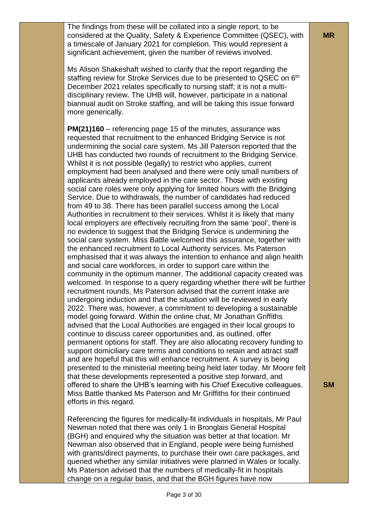The findings from these will be collated into a single report, to be considered at the Quality, Safety & Experience Committee (QSEC), with a timescale of January 2021 for completion. This would represent a significant achievement, given the number of reviews involved.

Ms Alison Shakeshaft wished to clarify that the report regarding the staffing review for Stroke Services due to be presented to QSEC on 6<sup>th</sup> December 2021 relates specifically to nursing staff; it is not a multidisciplinary review. The UHB will, however, participate in a national biannual audit on Stroke staffing, and will be taking this issue forward more generically.

**PM(21)160** – referencing page 15 of the minutes, assurance was requested that recruitment to the enhanced Bridging Service is not undermining the social care system. Ms Jill Paterson reported that the UHB has conducted two rounds of recruitment to the Bridging Service. Whilst it is not possible (legally) to restrict who applies, current employment had been analysed and there were only small numbers of applicants already employed in the care sector. Those with existing social care roles were only applying for limited hours with the Bridging Service. Due to withdrawals, the number of candidates had reduced from 49 to 38. There has been parallel success among the Local Authorities in recruitment to their services. Whilst it is likely that many local employers are effectively recruiting from the same 'pool', there is no evidence to suggest that the Bridging Service is undermining the social care system. Miss Battle welcomed this assurance, together with the enhanced recruitment to Local Authority services. Ms Paterson emphasised that it was always the intention to enhance and align health and social care workforces, in order to support care within the community in the optimum manner. The additional capacity created was welcomed. In response to a query regarding whether there will be further recruitment rounds, Ms Paterson advised that the current intake are undergoing induction and that the situation will be reviewed in early 2022. There was, however, a commitment to developing a sustainable model going forward. Within the online chat, Mr Jonathan Griffiths advised that the Local Authorities are engaged in their local groups to continue to discuss career opportunities and, as outlined, offer permanent options for staff. They are also allocating recovery funding to support domiciliary care terms and conditions to retain and attract staff and are hopeful that this will enhance recruitment. A survey is being presented to the ministerial meeting being held later today. Mr Moore felt that these developments represented a positive step forward, and offered to share the UHB's learning with his Chief Executive colleagues. Miss Battle thanked Ms Paterson and Mr Griffiths for their continued efforts in this regard.

Referencing the figures for medically-fit individuals in hospitals, Mr Paul Newman noted that there was only 1 in Bronglais General Hospital (BGH) and enquired why the situation was better at that location. Mr Newman also observed that in England, people were being furnished with grants/direct payments, to purchase their own care packages, and queried whether any similar initiatives were planned in Wales or locally. Ms Paterson advised that the numbers of medically-fit in hospitals change on a regular basis, and that the BGH figures have now

**SM**

**MR**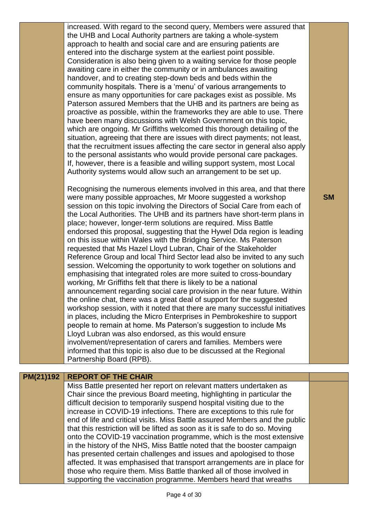increased. With regard to the second query, Members were assured that the UHB and Local Authority partners are taking a whole-system approach to health and social care and are ensuring patients are entered into the discharge system at the earliest point possible. Consideration is also being given to a waiting service for those people awaiting care in either the community or in ambulances awaiting handover, and to creating step-down beds and beds within the community hospitals. There is a 'menu' of various arrangements to ensure as many opportunities for care packages exist as possible. Ms Paterson assured Members that the UHB and its partners are being as proactive as possible, within the frameworks they are able to use. There have been many discussions with Welsh Government on this topic, which are ongoing. Mr Griffiths welcomed this thorough detailing of the situation, agreeing that there are issues with direct payments; not least, that the recruitment issues affecting the care sector in general also apply to the personal assistants who would provide personal care packages. If, however, there is a feasible and willing support system, most Local Authority systems would allow such an arrangement to be set up.

Recognising the numerous elements involved in this area, and that there were many possible approaches, Mr Moore suggested a workshop session on this topic involving the Directors of Social Care from each of the Local Authorities. The UHB and its partners have short-term plans in place; however, longer-term solutions are required. Miss Battle endorsed this proposal, suggesting that the Hywel Dda region is leading on this issue within Wales with the Bridging Service. Ms Paterson requested that Ms Hazel Lloyd Lubran, Chair of the Stakeholder Reference Group and local Third Sector lead also be invited to any such session. Welcoming the opportunity to work together on solutions and emphasising that integrated roles are more suited to cross-boundary working, Mr Griffiths felt that there is likely to be a national announcement regarding social care provision in the near future. Within the online chat, there was a great deal of support for the suggested workshop session, with it noted that there are many successful initiatives in places, including the Micro Enterprises in Pembrokeshire to support people to remain at home. Ms Paterson's suggestion to include Ms Lloyd Lubran was also endorsed, as this would ensure involvement/representation of carers and families. Members were informed that this topic is also due to be discussed at the Regional Partnership Board (RPB).

## **PM(21)192 REPORT OF THE CHAIR**

Miss Battle presented her report on relevant matters undertaken as Chair since the previous Board meeting, highlighting in particular the difficult decision to temporarily suspend hospital visiting due to the increase in COVID-19 infections. There are exceptions to this rule for end of life and critical visits. Miss Battle assured Members and the public that this restriction will be lifted as soon as it is safe to do so. Moving onto the COVID-19 vaccination programme, which is the most extensive in the history of the NHS, Miss Battle noted that the booster campaign has presented certain challenges and issues and apologised to those affected. It was emphasised that transport arrangements are in place for those who require them. Miss Battle thanked all of those involved in supporting the vaccination programme. Members heard that wreaths

**SM**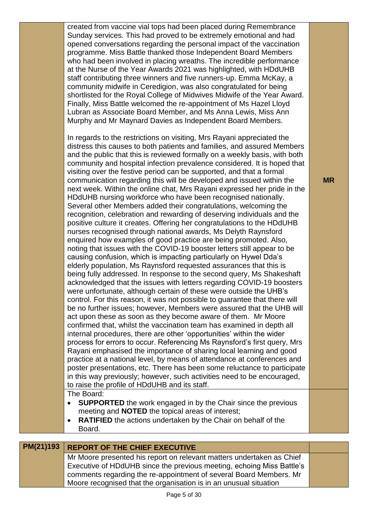created from vaccine vial tops had been placed during Remembrance Sunday services. This had proved to be extremely emotional and had opened conversations regarding the personal impact of the vaccination programme. Miss Battle thanked those Independent Board Members who had been involved in placing wreaths. The incredible performance at the Nurse of the Year Awards 2021 was highlighted, with HDdUHB staff contributing three winners and five runners-up. Emma McKay, a community midwife in Ceredigion, was also congratulated for being shortlisted for the Royal College of Midwives Midwife of the Year Award. Finally, Miss Battle welcomed the re-appointment of Ms Hazel Lloyd Lubran as Associate Board Member, and Ms Anna Lewis, Miss Ann Murphy and Mr Maynard Davies as Independent Board Members.

In regards to the restrictions on visiting, Mrs Rayani appreciated the distress this causes to both patients and families, and assured Members and the public that this is reviewed formally on a weekly basis, with both community and hospital infection prevalence considered. It is hoped that visiting over the festive period can be supported, and that a formal communication regarding this will be developed and issued within the next week. Within the online chat, Mrs Rayani expressed her pride in the HDdUHB nursing workforce who have been recognised nationally. Several other Members added their congratulations, welcoming the recognition, celebration and rewarding of deserving individuals and the positive culture it creates. Offering her congratulations to the HDdUHB nurses recognised through national awards, Ms Delyth Raynsford enquired how examples of good practice are being promoted. Also, noting that issues with the COVID-19 booster letters still appear to be causing confusion, which is impacting particularly on Hywel Dda's elderly population, Ms Raynsford requested assurances that this is being fully addressed. In response to the second query, Ms Shakeshaft acknowledged that the issues with letters regarding COVID-19 boosters were unfortunate, although certain of these were outside the UHB's control. For this reason, it was not possible to guarantee that there will be no further issues; however, Members were assured that the UHB will act upon these as soon as they become aware of them. Mr Moore confirmed that, whilst the vaccination team has examined in depth all internal procedures, there are other 'opportunities' within the wider process for errors to occur. Referencing Ms Raynsford's first query, Mrs Rayani emphasised the importance of sharing local learning and good practice at a national level, by means of attendance at conferences and poster presentations, etc. There has been some reluctance to participate in this way previously; however, such activities need to be encouraged, to raise the profile of HDdUHB and its staff.

The Board:

- **SUPPORTED** the work engaged in by the Chair since the previous meeting and **NOTED** the topical areas of interest;
- **RATIFIED** the actions undertaken by the Chair on behalf of the Board.

|  | PM(21)19 |  |
|--|----------|--|
|  |          |  |

#### **PM(21)193 REPORT OF THE CHIEF EXECUTIVE**

Mr Moore presented his report on relevant matters undertaken as Chief Executive of HDdUHB since the previous meeting, echoing Miss Battle's comments regarding the re-appointment of several Board Members. Mr Moore recognised that the organisation is in an unusual situation

**MR**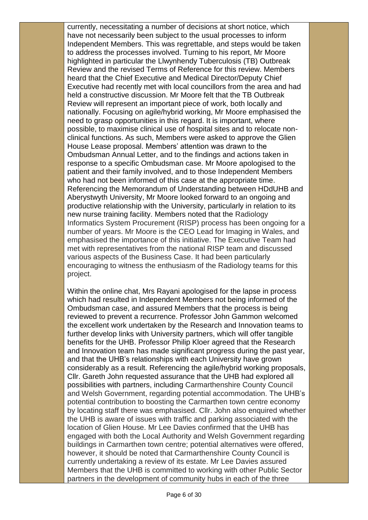currently, necessitating a number of decisions at short notice, which have not necessarily been subject to the usual processes to inform Independent Members. This was regrettable, and steps would be taken to address the processes involved. Turning to his report, Mr Moore highlighted in particular the Llwynhendy Tuberculosis (TB) Outbreak Review and the revised Terms of Reference for this review. Members heard that the Chief Executive and Medical Director/Deputy Chief Executive had recently met with local councillors from the area and had held a constructive discussion. Mr Moore felt that the TB Outbreak Review will represent an important piece of work, both locally and nationally. Focusing on agile/hybrid working, Mr Moore emphasised the need to grasp opportunities in this regard. It is important, where possible, to maximise clinical use of hospital sites and to relocate nonclinical functions. As such, Members were asked to approve the Glien House Lease proposal. Members' attention was drawn to the Ombudsman Annual Letter, and to the findings and actions taken in response to a specific Ombudsman case. Mr Moore apologised to the patient and their family involved, and to those Independent Members who had not been informed of this case at the appropriate time. Referencing the Memorandum of Understanding between HDdUHB and Aberystwyth University, Mr Moore looked forward to an ongoing and productive relationship with the University, particularly in relation to its new nurse training facility. Members noted that the Radiology Informatics System Procurement (RISP) process has been ongoing for a number of years. Mr Moore is the CEO Lead for Imaging in Wales, and emphasised the importance of this initiative. The Executive Team had met with representatives from the national RISP team and discussed various aspects of the Business Case. It had been particularly encouraging to witness the enthusiasm of the Radiology teams for this project.

Within the online chat, Mrs Rayani apologised for the lapse in process which had resulted in Independent Members not being informed of the Ombudsman case, and assured Members that the process is being reviewed to prevent a recurrence. Professor John Gammon welcomed the excellent work undertaken by the Research and Innovation teams to further develop links with University partners, which will offer tangible benefits for the UHB. Professor Philip Kloer agreed that the Research and Innovation team has made significant progress during the past year, and that the UHB's relationships with each University have grown considerably as a result. Referencing the agile/hybrid working proposals, Cllr. Gareth John requested assurance that the UHB had explored all possibilities with partners, including Carmarthenshire County Council and Welsh Government, regarding potential accommodation. The UHB's potential contribution to boosting the Carmarthen town centre economy by locating staff there was emphasised. Cllr. John also enquired whether the UHB is aware of issues with traffic and parking associated with the location of Glien House. Mr Lee Davies confirmed that the UHB has engaged with both the Local Authority and Welsh Government regarding buildings in Carmarthen town centre; potential alternatives were offered, however, it should be noted that Carmarthenshire County Council is currently undertaking a review of its estate. Mr Lee Davies assured Members that the UHB is committed to working with other Public Sector partners in the development of community hubs in each of the three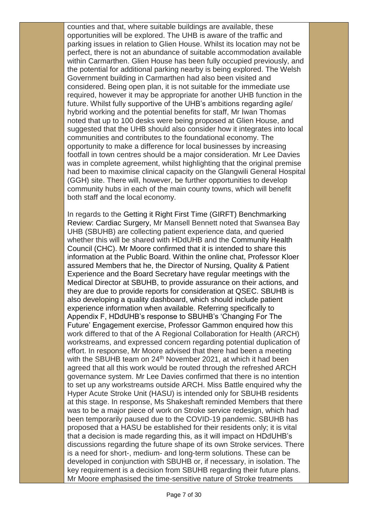counties and that, where suitable buildings are available, these opportunities will be explored. The UHB is aware of the traffic and parking issues in relation to Glien House. Whilst its location may not be perfect, there is not an abundance of suitable accommodation available within Carmarthen. Glien House has been fully occupied previously, and the potential for additional parking nearby is being explored. The Welsh Government building in Carmarthen had also been visited and considered. Being open plan, it is not suitable for the immediate use required, however it may be appropriate for another UHB function in the future. Whilst fully supportive of the UHB's ambitions regarding agile/ hybrid working and the potential benefits for staff, Mr Iwan Thomas noted that up to 100 desks were being proposed at Glien House, and suggested that the UHB should also consider how it integrates into local communities and contributes to the foundational economy. The opportunity to make a difference for local businesses by increasing footfall in town centres should be a major consideration. Mr Lee Davies was in complete agreement, whilst highlighting that the original premise had been to maximise clinical capacity on the Glangwili General Hospital (GGH) site. There will, however, be further opportunities to develop community hubs in each of the main county towns, which will benefit both staff and the local economy.

In regards to the Getting it Right First Time (GIRFT) Benchmarking Review: Cardiac Surgery, Mr Mansell Bennett noted that Swansea Bay UHB (SBUHB) are collecting patient experience data, and queried whether this will be shared with HDdUHB and the Community Health Council (CHC). Mr Moore confirmed that it is intended to share this information at the Public Board. Within the online chat, Professor Kloer assured Members that he, the Director of Nursing, Quality & Patient Experience and the Board Secretary have regular meetings with the Medical Director at SBUHB, to provide assurance on their actions, and they are due to provide reports for consideration at QSEC. SBUHB is also developing a quality dashboard, which should include patient experience information when available. Referring specifically to Appendix F, HDdUHB's response to SBUHB's 'Changing For The Future' Engagement exercise, Professor Gammon enquired how this work differed to that of the A Regional Collaboration for Health (ARCH) workstreams, and expressed concern regarding potential duplication of effort. In response, Mr Moore advised that there had been a meeting with the SBUHB team on 24<sup>th</sup> November 2021, at which it had been agreed that all this work would be routed through the refreshed ARCH governance system. Mr Lee Davies confirmed that there is no intention to set up any workstreams outside ARCH. Miss Battle enquired why the Hyper Acute Stroke Unit (HASU) is intended only for SBUHB residents at this stage. In response, Ms Shakeshaft reminded Members that there was to be a major piece of work on Stroke service redesign, which had been temporarily paused due to the COVID-19 pandemic. SBUHB has proposed that a HASU be established for their residents only; it is vital that a decision is made regarding this, as it will impact on HDdUHB's discussions regarding the future shape of its own Stroke services. There is a need for short-, medium- and long-term solutions. These can be developed in conjunction with SBUHB or, if necessary, in isolation. The key requirement is a decision from SBUHB regarding their future plans. Mr Moore emphasised the time-sensitive nature of Stroke treatments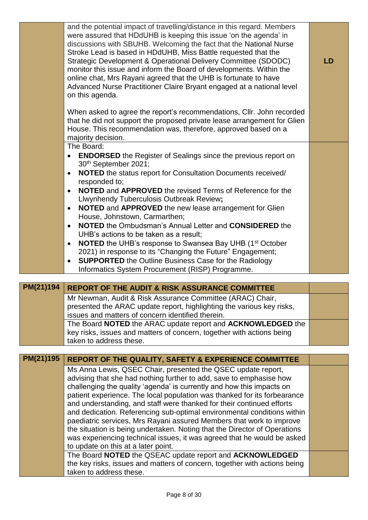|           | and the potential impact of travelling/distance in this regard. Members<br>were assured that HDdUHB is keeping this issue 'on the agenda' in<br>discussions with SBUHB. Welcoming the fact that the National Nurse                                                                                                                                                      |           |
|-----------|-------------------------------------------------------------------------------------------------------------------------------------------------------------------------------------------------------------------------------------------------------------------------------------------------------------------------------------------------------------------------|-----------|
|           | Stroke Lead is based in HDdUHB, Miss Battle requested that the<br>Strategic Development & Operational Delivery Committee (SDODC)<br>monitor this issue and inform the Board of developments. Within the<br>online chat, Mrs Rayani agreed that the UHB is fortunate to have<br>Advanced Nurse Practitioner Claire Bryant engaged at a national level<br>on this agenda. | <b>LD</b> |
|           | When asked to agree the report's recommendations, Cllr. John recorded<br>that he did not support the proposed private lease arrangement for Glien<br>House. This recommendation was, therefore, approved based on a<br>majority decision.                                                                                                                               |           |
|           | The Board:<br><b>ENDORSED</b> the Register of Sealings since the previous report on                                                                                                                                                                                                                                                                                     |           |
|           | 30th September 2021;<br>NOTED the status report for Consultation Documents received/<br>$\bullet$<br>responded to:                                                                                                                                                                                                                                                      |           |
|           | <b>NOTED</b> and <b>APPROVED</b> the revised Terms of Reference for the<br>$\bullet$<br>Llwynhendy Tuberculosis Outbreak Review;                                                                                                                                                                                                                                        |           |
|           | NOTED and APPROVED the new lease arrangement for Glien<br>$\bullet$<br>House, Johnstown, Carmarthen;                                                                                                                                                                                                                                                                    |           |
|           | <b>NOTED</b> the Ombudsman's Annual Letter and <b>CONSIDERED</b> the<br>$\bullet$<br>UHB's actions to be taken as a result;                                                                                                                                                                                                                                             |           |
|           | <b>NOTED</b> the UHB's response to Swansea Bay UHB (1 <sup>st</sup> October<br>$\bullet$<br>2021) in response to its "Changing the Future" Engagement;                                                                                                                                                                                                                  |           |
|           | <b>SUPPORTED</b> the Outline Business Case for the Radiology<br>$\bullet$<br>Informatics System Procurement (RISP) Programme.                                                                                                                                                                                                                                           |           |
|           |                                                                                                                                                                                                                                                                                                                                                                         |           |
| PM(21)194 | <b>REPORT OF THE AUDIT &amp; RISK ASSURANCE COMMITTEE</b>                                                                                                                                                                                                                                                                                                               |           |
|           | $Mr$ Newman Audit 8. Rick Accurance Committee ( $APAC$ ) Chair                                                                                                                                                                                                                                                                                                          |           |

Mr Newman, Audit & Risk Assurance Committee (ARAC) Chair, presented the ARAC update report, highlighting the various key risks, issues and matters of concern identified therein. The Board **NOTED** the ARAC update report and **ACKNOWLEDGED** the key risks, issues and matters of concern, together with actions being taken to address these.

| PM(21)195 | REPORT OF THE QUALITY, SAFETY & EXPERIENCE COMMITTEE                      |  |
|-----------|---------------------------------------------------------------------------|--|
|           | Ms Anna Lewis, QSEC Chair, presented the QSEC update report,              |  |
|           | advising that she had nothing further to add, save to emphasise how       |  |
|           | challenging the quality 'agenda' is currently and how this impacts on     |  |
|           | patient experience. The local population was thanked for its forbearance  |  |
|           | and understanding, and staff were thanked for their continued efforts     |  |
|           | and dedication. Referencing sub-optimal environmental conditions within   |  |
|           | paediatric services, Mrs Rayani assured Members that work to improve      |  |
|           | the situation is being undertaken. Noting that the Director of Operations |  |
|           | was experiencing technical issues, it was agreed that he would be asked   |  |
|           | to update on this at a later point.                                       |  |
|           | The Board NOTED the QSEAC update report and ACKNOWLEDGED                  |  |
|           | the key risks, issues and matters of concern, together with actions being |  |
|           | taken to address these.                                                   |  |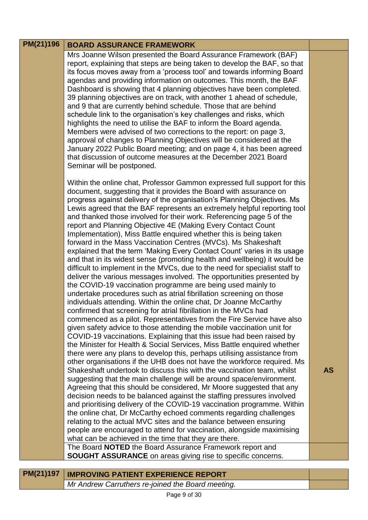# **PM(21)196 BOARD ASSURANCE FRAMEWORK**

Mrs Joanne Wilson presented the Board Assurance Framework (BAF) report, explaining that steps are being taken to develop the BAF, so that its focus moves away from a 'process tool' and towards informing Board agendas and providing information on outcomes. This month, the BAF Dashboard is showing that 4 planning objectives have been completed. 39 planning objectives are on track, with another 1 ahead of schedule, and 9 that are currently behind schedule. Those that are behind schedule link to the organisation's key challenges and risks, which highlights the need to utilise the BAF to inform the Board agenda. Members were advised of two corrections to the report: on page 3, approval of changes to Planning Objectives will be considered at the January 2022 Public Board meeting; and on page 4, it has been agreed that discussion of outcome measures at the December 2021 Board Seminar will be postponed.

Within the online chat, Professor Gammon expressed full support for this document, suggesting that it provides the Board with assurance on progress against delivery of the organisation's Planning Objectives. Ms Lewis agreed that the BAF represents an extremely helpful reporting tool and thanked those involved for their work. Referencing page 5 of the report and Planning Objective 4E (Making Every Contact Count Implementation), Miss Battle enquired whether this is being taken forward in the Mass Vaccination Centres (MVCs). Ms Shakeshaft explained that the term 'Making Every Contact Count' varies in its usage and that in its widest sense (promoting health and wellbeing) it would be difficult to implement in the MVCs, due to the need for specialist staff to deliver the various messages involved. The opportunities presented by the COVID-19 vaccination programme are being used mainly to undertake procedures such as atrial fibrillation screening on those individuals attending. Within the online chat, Dr Joanne McCarthy confirmed that screening for atrial fibrillation in the MVCs had commenced as a pilot. Representatives from the Fire Service have also given safety advice to those attending the mobile vaccination unit for COVID-19 vaccinations. Explaining that this issue had been raised by the Minister for Health & Social Services, Miss Battle enquired whether there were any plans to develop this, perhaps utilising assistance from other organisations if the UHB does not have the workforce required. Ms Shakeshaft undertook to discuss this with the vaccination team, whilst suggesting that the main challenge will be around space/environment. Agreeing that this should be considered, Mr Moore suggested that any decision needs to be balanced against the staffing pressures involved and prioritising delivery of the COVID-19 vaccination programme. Within the online chat, Dr McCarthy echoed comments regarding challenges relating to the actual MVC sites and the balance between ensuring people are encouraged to attend for vaccination, alongside maximising what can be achieved in the time that they are there. The Board **NOTED** the Board Assurance Framework report and

**AS**

| <b>SOUGHT ASSURANCE</b> on areas giving rise to specific concerns. |  |  |  |
|--------------------------------------------------------------------|--|--|--|

| <b>PM(21)197   IMPROVING PATIENT EXPERIENCE REPORT</b> |
|--------------------------------------------------------|
| Mr Andrew Carruthers re-joined the Board meeting.      |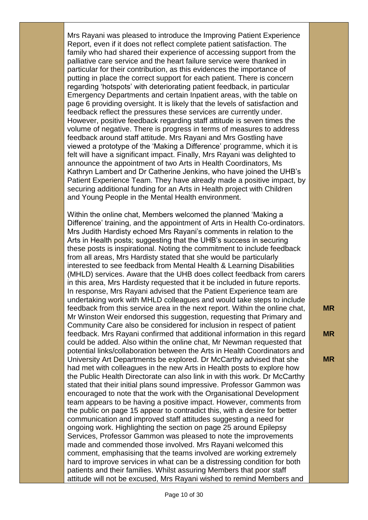Mrs Rayani was pleased to introduce the Improving Patient Experience Report, even if it does not reflect complete patient satisfaction. The family who had shared their experience of accessing support from the palliative care service and the heart failure service were thanked in particular for their contribution, as this evidences the importance of putting in place the correct support for each patient. There is concern regarding 'hotspots' with deteriorating patient feedback, in particular Emergency Departments and certain Inpatient areas, with the table on page 6 providing oversight. It is likely that the levels of satisfaction and feedback reflect the pressures these services are currently under. However, positive feedback regarding staff attitude is seven times the volume of negative. There is progress in terms of measures to address feedback around staff attitude. Mrs Rayani and Mrs Gostling have viewed a prototype of the 'Making a Difference' programme, which it is felt will have a significant impact. Finally, Mrs Rayani was delighted to announce the appointment of two Arts in Health Coordinators, Ms Kathryn Lambert and Dr Catherine Jenkins, who have joined the UHB's Patient Experience Team. They have already made a positive impact, by securing additional funding for an Arts in Health project with Children and Young People in the Mental Health environment.

Within the online chat, Members welcomed the planned 'Making a Difference' training, and the appointment of Arts in Health Co-ordinators. Mrs Judith Hardisty echoed Mrs Rayani's comments in relation to the Arts in Health posts; suggesting that the UHB's success in securing these posts is inspirational. Noting the commitment to include feedback from all areas, Mrs Hardisty stated that she would be particularly interested to see feedback from Mental Health & Learning Disabilities (MHLD) services. Aware that the UHB does collect feedback from carers in this area, Mrs Hardisty requested that it be included in future reports. In response, Mrs Rayani advised that the Patient Experience team are undertaking work with MHLD colleagues and would take steps to include feedback from this service area in the next report. Within the online chat, Mr Winston Weir endorsed this suggestion, requesting that Primary and Community Care also be considered for inclusion in respect of patient feedback. Mrs Rayani confirmed that additional information in this regard could be added. Also within the online chat, Mr Newman requested that potential links/collaboration between the Arts in Health Coordinators and University Art Departments be explored. Dr McCarthy advised that she had met with colleagues in the new Arts in Health posts to explore how the Public Health Directorate can also link in with this work. Dr McCarthy stated that their initial plans sound impressive. Professor Gammon was encouraged to note that the work with the Organisational Development team appears to be having a positive impact. However, comments from the public on page 15 appear to contradict this, with a desire for better communication and improved staff attitudes suggesting a need for ongoing work. Highlighting the section on page 25 around Epilepsy Services, Professor Gammon was pleased to note the improvements made and commended those involved. Mrs Rayani welcomed this comment, emphasising that the teams involved are working extremely hard to improve services in what can be a distressing condition for both patients and their families. Whilst assuring Members that poor staff attitude will not be excused, Mrs Rayani wished to remind Members and

**MR**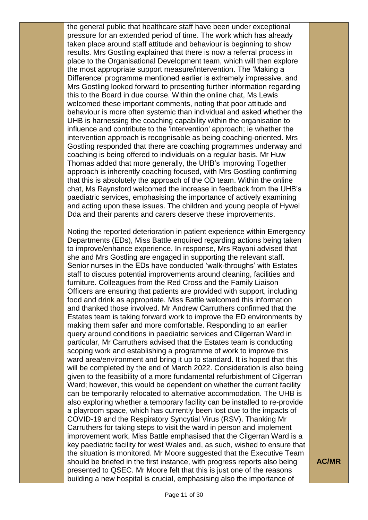the general public that healthcare staff have been under exceptional pressure for an extended period of time. The work which has already taken place around staff attitude and behaviour is beginning to show results. Mrs Gostling explained that there is now a referral process in place to the Organisational Development team, which will then explore the most appropriate support measure/intervention. The 'Making a Difference' programme mentioned earlier is extremely impressive, and Mrs Gostling looked forward to presenting further information regarding this to the Board in due course. Within the online chat, Ms Lewis welcomed these important comments, noting that poor attitude and behaviour is more often systemic than individual and asked whether the UHB is harnessing the coaching capability within the organisation to influence and contribute to the 'intervention' approach; ie whether the intervention approach is recognisable as being coaching-oriented. Mrs Gostling responded that there are coaching programmes underway and coaching is being offered to individuals on a regular basis. Mr Huw Thomas added that more generally, the UHB's Improving Together approach is inherently coaching focused, with Mrs Gostling confirming that this is absolutely the approach of the OD team. Within the online chat, Ms Raynsford welcomed the increase in feedback from the UHB's paediatric services, emphasising the importance of actively examining and acting upon these issues. The children and young people of Hywel Dda and their parents and carers deserve these improvements.

Noting the reported deterioration in patient experience within Emergency Departments (EDs), Miss Battle enquired regarding actions being taken to improve/enhance experience. In response, Mrs Rayani advised that she and Mrs Gostling are engaged in supporting the relevant staff. Senior nurses in the EDs have conducted 'walk-throughs' with Estates staff to discuss potential improvements around cleaning, facilities and furniture. Colleagues from the Red Cross and the Family Liaison Officers are ensuring that patients are provided with support, including food and drink as appropriate. Miss Battle welcomed this information and thanked those involved. Mr Andrew Carruthers confirmed that the Estates team is taking forward work to improve the ED environments by making them safer and more comfortable. Responding to an earlier query around conditions in paediatric services and Cilgerran Ward in particular, Mr Carruthers advised that the Estates team is conducting scoping work and establishing a programme of work to improve this ward area/environment and bring it up to standard. It is hoped that this will be completed by the end of March 2022. Consideration is also being given to the feasibility of a more fundamental refurbishment of Cilgerran Ward; however, this would be dependent on whether the current facility can be temporarily relocated to alternative accommodation. The UHB is also exploring whether a temporary facility can be installed to re-provide a playroom space, which has currently been lost due to the impacts of COVID-19 and the Respiratory Syncytial Virus (RSV). Thanking Mr Carruthers for taking steps to visit the ward in person and implement improvement work, Miss Battle emphasised that the Cilgerran Ward is a key paediatric facility for west Wales and, as such, wished to ensure that the situation is monitored. Mr Moore suggested that the Executive Team should be briefed in the first instance, with progress reports also being presented to QSEC. Mr Moore felt that this is just one of the reasons building a new hospital is crucial, emphasising also the importance of

**AC/MR**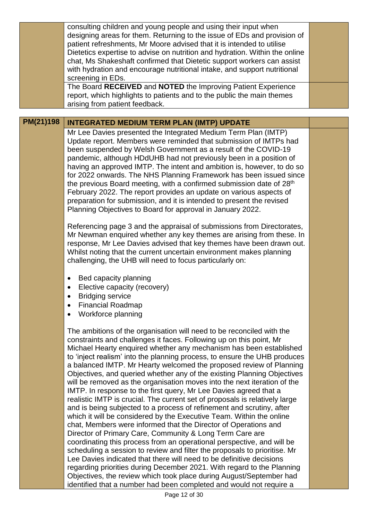|           | consulting children and young people and using their input when<br>designing areas for them. Returning to the issue of EDs and provision of<br>patient refreshments, Mr Moore advised that it is intended to utilise<br>Dietetics expertise to advise on nutrition and hydration. Within the online<br>chat, Ms Shakeshaft confirmed that Dietetic support workers can assist<br>with hydration and encourage nutritional intake, and support nutritional<br>screening in EDs.<br>The Board RECEIVED and NOTED the Improving Patient Experience<br>report, which highlights to patients and to the public the main themes<br>arising from patient feedback.                                                                  |  |
|-----------|------------------------------------------------------------------------------------------------------------------------------------------------------------------------------------------------------------------------------------------------------------------------------------------------------------------------------------------------------------------------------------------------------------------------------------------------------------------------------------------------------------------------------------------------------------------------------------------------------------------------------------------------------------------------------------------------------------------------------|--|
|           |                                                                                                                                                                                                                                                                                                                                                                                                                                                                                                                                                                                                                                                                                                                              |  |
| PM(21)198 | <b>INTEGRATED MEDIUM TERM PLAN (IMTP) UPDATE</b>                                                                                                                                                                                                                                                                                                                                                                                                                                                                                                                                                                                                                                                                             |  |
|           | Mr Lee Davies presented the Integrated Medium Term Plan (IMTP)<br>Update report. Members were reminded that submission of IMTPs had<br>been suspended by Welsh Government as a result of the COVID-19<br>pandemic, although HDdUHB had not previously been in a position of<br>having an approved IMTP. The intent and ambition is, however, to do so<br>for 2022 onwards. The NHS Planning Framework has been issued since<br>the previous Board meeting, with a confirmed submission date of 28 <sup>th</sup><br>February 2022. The report provides an update on various aspects of<br>preparation for submission, and it is intended to present the revised<br>Planning Objectives to Board for approval in January 2022. |  |
|           | Referencing page 3 and the appraisal of submissions from Directorates,<br>Mr Newman enquired whether any key themes are arising from these. In<br>response, Mr Lee Davies advised that key themes have been drawn out.<br>Whilst noting that the current uncertain environment makes planning<br>challenging, the UHB will need to focus particularly on:                                                                                                                                                                                                                                                                                                                                                                    |  |
|           | Bed capacity planning<br>Elective capacity (recovery)<br><b>Bridging service</b><br>٠<br><b>Financial Roadmap</b><br>٠<br>Workforce planning                                                                                                                                                                                                                                                                                                                                                                                                                                                                                                                                                                                 |  |
|           | The ambitions of the organisation will need to be reconciled with the<br>constraints and challenges it faces. Following up on this point, Mr<br>Michael Hearty enquired whether any mechanism has been established<br>to 'inject realism' into the planning process, to ensure the UHB produces<br>a balanced IMTP Mr Hearty welcomed the proposed review of Planning                                                                                                                                                                                                                                                                                                                                                        |  |

arty welcomed the proposed review of Planning Objectives, and queried whether any of the existing Planning Objectives will be removed as the organisation moves into the next iteration of the IMTP. In response to the first query, Mr Lee Davies agreed that a realistic IMTP is crucial. The current set of proposals is relatively large and is being subjected to a process of refinement and scrutiny, after which it will be considered by the Executive Team. Within the online chat, Members were informed that the Director of Operations and Director of Primary Care, Community & Long Term Care are coordinating this process from an operational perspective, and will be scheduling a session to review and filter the proposals to prioritise. Mr Lee Davies indicated that there will need to be definitive decisions regarding priorities during December 2021. With regard to the Planning Objectives, the review which took place during August/September had identified that a number had been completed and would not require a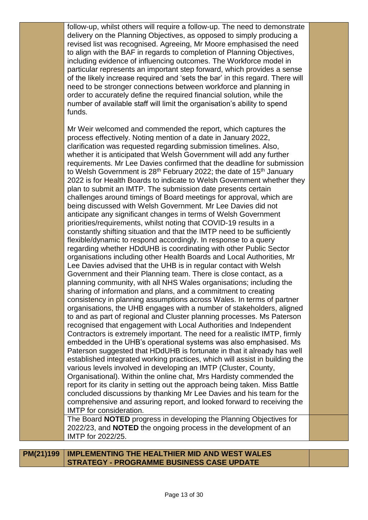follow-up, whilst others will require a follow-up. The need to demonstrate delivery on the Planning Objectives, as opposed to simply producing a revised list was recognised. Agreeing, Mr Moore emphasised the need to align with the BAF in regards to completion of Planning Objectives, including evidence of influencing outcomes. The Workforce model in particular represents an important step forward, which provides a sense of the likely increase required and 'sets the bar' in this regard. There will need to be stronger connections between workforce and planning in order to accurately define the required financial solution, while the number of available staff will limit the organisation's ability to spend funds.

Mr Weir welcomed and commended the report, which captures the process effectively. Noting mention of a date in January 2022, clarification was requested regarding submission timelines. Also, whether it is anticipated that Welsh Government will add any further requirements. Mr Lee Davies confirmed that the deadline for submission to Welsh Government is  $28<sup>th</sup>$  February 2022; the date of 15<sup>th</sup> January 2022 is for Health Boards to indicate to Welsh Government whether they plan to submit an IMTP. The submission date presents certain challenges around timings of Board meetings for approval, which are being discussed with Welsh Government. Mr Lee Davies did not anticipate any significant changes in terms of Welsh Government priorities/requirements, whilst noting that COVID-19 results in a constantly shifting situation and that the IMTP need to be sufficiently flexible/dynamic to respond accordingly. In response to a query regarding whether HDdUHB is coordinating with other Public Sector organisations including other Health Boards and Local Authorities, Mr Lee Davies advised that the UHB is in regular contact with Welsh Government and their Planning team. There is close contact, as a planning community, with all NHS Wales organisations; including the sharing of information and plans, and a commitment to creating consistency in planning assumptions across Wales. In terms of partner organisations, the UHB engages with a number of stakeholders, aligned to and as part of regional and Cluster planning processes. Ms Paterson recognised that engagement with Local Authorities and Independent Contractors is extremely important. The need for a realistic IMTP, firmly embedded in the UHB's operational systems was also emphasised. Ms Paterson suggested that HDdUHB is fortunate in that it already has well established integrated working practices, which will assist in building the various levels involved in developing an IMTP (Cluster, County, Organisational). Within the online chat, Mrs Hardisty commended the report for its clarity in setting out the approach being taken. Miss Battle concluded discussions by thanking Mr Lee Davies and his team for the comprehensive and assuring report, and looked forward to receiving the IMTP for consideration.

The Board **NOTED** progress in developing the Planning Objectives for 2022/23, and **NOTED** the ongoing process in the development of an IMTP for 2022/25.

**PM(21)199 IMPLEMENTING THE HEALTHIER MID AND WEST WALES STRATEGY - PROGRAMME BUSINESS CASE UPDATE**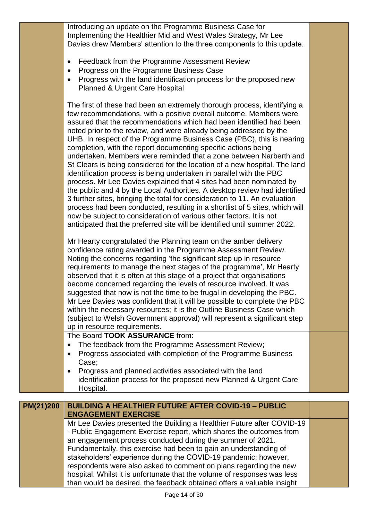Introducing an update on the Programme Business Case for Implementing the Healthier Mid and West Wales Strategy, Mr Lee Davies drew Members' attention to the three components to this update:

- Feedback from the Programme Assessment Review
- Progress on the Programme Business Case
- Progress with the land identification process for the proposed new Planned & Urgent Care Hospital

The first of these had been an extremely thorough process, identifying a few recommendations, with a positive overall outcome. Members were assured that the recommendations which had been identified had been noted prior to the review, and were already being addressed by the UHB. In respect of the Programme Business Case (PBC), this is nearing completion, with the report documenting specific actions being undertaken. Members were reminded that a zone between Narberth and St Clears is being considered for the location of a new hospital. The land identification process is being undertaken in parallel with the PBC process. Mr Lee Davies explained that 4 sites had been nominated by the public and 4 by the Local Authorities. A desktop review had identified 3 further sites, bringing the total for consideration to 11. An evaluation process had been conducted, resulting in a shortlist of 5 sites, which will now be subject to consideration of various other factors. It is not anticipated that the preferred site will be identified until summer 2022.

Mr Hearty congratulated the Planning team on the amber delivery confidence rating awarded in the Programme Assessment Review. Noting the concerns regarding 'the significant step up in resource requirements to manage the next stages of the programme', Mr Hearty observed that it is often at this stage of a project that organisations become concerned regarding the levels of resource involved. It was suggested that now is not the time to be frugal in developing the PBC. Mr Lee Davies was confident that it will be possible to complete the PBC within the necessary resources; it is the Outline Business Case which (subject to Welsh Government approval) will represent a significant step up in resource requirements.

The Board **TOOK ASSURANCE** from:

- The feedback from the Programme Assessment Review;
- Progress associated with completion of the Programme Business Case;
- Progress and planned activities associated with the land identification process for the proposed new Planned & Urgent Care Hospital.

| PM(21)200 | <b>BUILDING A HEALTHIER FUTURE AFTER COVID-19 - PUBLIC</b>               |  |  |  |
|-----------|--------------------------------------------------------------------------|--|--|--|
|           | <b>ENGAGEMENT EXERCISE</b>                                               |  |  |  |
|           | Mr Lee Davies presented the Building a Healthier Future after COVID-19   |  |  |  |
|           | - Public Engagement Exercise report, which shares the outcomes from      |  |  |  |
|           | an engagement process conducted during the summer of 2021.               |  |  |  |
|           | Fundamentally, this exercise had been to gain an understanding of        |  |  |  |
|           | stakeholders' experience during the COVID-19 pandemic; however,          |  |  |  |
|           | respondents were also asked to comment on plans regarding the new        |  |  |  |
|           | hospital. Whilst it is unfortunate that the volume of responses was less |  |  |  |
|           | than would be desired, the feedback obtained offers a valuable insight   |  |  |  |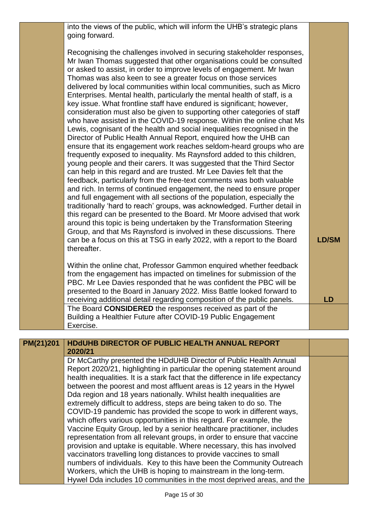into the views of the public, which will inform the UHB's strategic plans going forward.

Recognising the challenges involved in securing stakeholder responses, Mr Iwan Thomas suggested that other organisations could be consulted or asked to assist, in order to improve levels of engagement. Mr Iwan Thomas was also keen to see a greater focus on those services delivered by local communities within local communities, such as Micro Enterprises. Mental health, particularly the mental health of staff, is a key issue. What frontline staff have endured is significant; however, consideration must also be given to supporting other categories of staff who have assisted in the COVID-19 response. Within the online chat Ms Lewis, cognisant of the health and social inequalities recognised in the Director of Public Health Annual Report, enquired how the UHB can ensure that its engagement work reaches seldom-heard groups who are frequently exposed to inequality. Ms Raynsford added to this children, young people and their carers. It was suggested that the Third Sector can help in this regard and are trusted. Mr Lee Davies felt that the feedback, particularly from the free-text comments was both valuable and rich. In terms of continued engagement, the need to ensure proper and full engagement with all sections of the population, especially the traditionally 'hard to reach' groups, was acknowledged. Further detail in this regard can be presented to the Board. Mr Moore advised that work around this topic is being undertaken by the Transformation Steering Group, and that Ms Raynsford is involved in these discussions. There can be a focus on this at TSG in early 2022, with a report to the Board thereafter.

Within the online chat, Professor Gammon enquired whether feedback from the engagement has impacted on timelines for submission of the PBC. Mr Lee Davies responded that he was confident the PBC will be presented to the Board in January 2022. Miss Battle looked forward to receiving additional detail regarding composition of the public panels. The Board **CONSIDERED** the responses received as part of the Building a Healthier Future after COVID-19 Public Engagement Exercise.

**LD/SM**

**LD**

| PM(21)201 | <b>HDdUHB DIRECTOR OF PUBLIC HEALTH ANNUAL REPORT</b><br>2020/21                                                                                          |  |
|-----------|-----------------------------------------------------------------------------------------------------------------------------------------------------------|--|
|           | Dr McCarthy presented the HDdUHB Director of Public Health Annual                                                                                         |  |
|           | Report 2020/21, highlighting in particular the opening statement around<br>health inequalities. It is a stark fact that the difference in life expectancy |  |
|           | between the poorest and most affluent areas is 12 years in the Hywel                                                                                      |  |
|           | Dda region and 18 years nationally. Whilst health inequalities are<br>extremely difficult to address, steps are being taken to do so. The                 |  |
|           | COVID-19 pandemic has provided the scope to work in different ways,                                                                                       |  |
|           | which offers various opportunities in this regard. For example, the<br>Vaccine Equity Group, led by a senior healthcare practitioner, includes            |  |
|           | representation from all relevant groups, in order to ensure that vaccine                                                                                  |  |
|           | provision and uptake is equitable. Where necessary, this has involved                                                                                     |  |
|           | vaccinators travelling long distances to provide vaccines to small<br>numbers of individuals. Key to this have been the Community Outreach                |  |
|           | Workers, which the UHB is hoping to mainstream in the long-term.                                                                                          |  |
|           | Hywel Dda includes 10 communities in the most deprived areas, and the                                                                                     |  |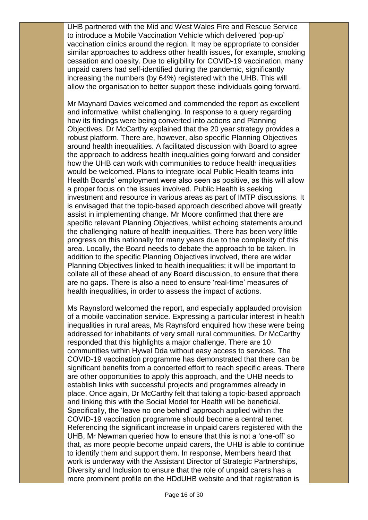UHB partnered with the Mid and West Wales Fire and Rescue Service to introduce a Mobile Vaccination Vehicle which delivered 'pop-up' vaccination clinics around the region. It may be appropriate to consider similar approaches to address other health issues, for example, smoking cessation and obesity. Due to eligibility for COVID-19 vaccination, many unpaid carers had self-identified during the pandemic, significantly increasing the numbers (by 64%) registered with the UHB. This will allow the organisation to better support these individuals going forward.

Mr Maynard Davies welcomed and commended the report as excellent and informative, whilst challenging. In response to a query regarding how its findings were being converted into actions and Planning Objectives, Dr McCarthy explained that the 20 year strategy provides a robust platform. There are, however, also specific Planning Objectives around health inequalities. A facilitated discussion with Board to agree the approach to address health inequalities going forward and consider how the UHB can work with communities to reduce health inequalities would be welcomed. Plans to integrate local Public Health teams into Health Boards' employment were also seen as positive, as this will allow a proper focus on the issues involved. Public Health is seeking investment and resource in various areas as part of IMTP discussions. It is envisaged that the topic-based approach described above will greatly assist in implementing change. Mr Moore confirmed that there are specific relevant Planning Objectives, whilst echoing statements around the challenging nature of health inequalities. There has been very little progress on this nationally for many years due to the complexity of this area. Locally, the Board needs to debate the approach to be taken. In addition to the specific Planning Objectives involved, there are wider Planning Objectives linked to health inequalities; it will be important to collate all of these ahead of any Board discussion, to ensure that there are no gaps. There is also a need to ensure 'real-time' measures of health inequalities, in order to assess the impact of actions.

Ms Raynsford welcomed the report, and especially applauded provision of a mobile vaccination service. Expressing a particular interest in health inequalities in rural areas, Ms Raynsford enquired how these were being addressed for inhabitants of very small rural communities. Dr McCarthy responded that this highlights a major challenge. There are 10 communities within Hywel Dda without easy access to services. The COVID-19 vaccination programme has demonstrated that there can be significant benefits from a concerted effort to reach specific areas. There are other opportunities to apply this approach, and the UHB needs to establish links with successful projects and programmes already in place. Once again, Dr McCarthy felt that taking a topic-based approach and linking this with the Social Model for Health will be beneficial. Specifically, the 'leave no one behind' approach applied within the COVID-19 vaccination programme should become a central tenet. Referencing the significant increase in unpaid carers registered with the UHB, Mr Newman queried how to ensure that this is not a 'one-off' so that, as more people become unpaid carers, the UHB is able to continue to identify them and support them. In response, Members heard that work is underway with the Assistant Director of Strategic Partnerships, Diversity and Inclusion to ensure that the role of unpaid carers has a more prominent profile on the HDdUHB website and that registration is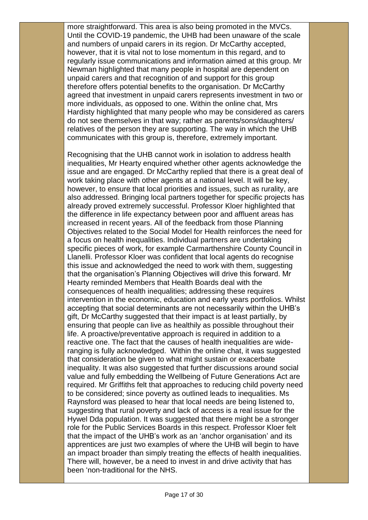more straightforward. This area is also being promoted in the MVCs. Until the COVID-19 pandemic, the UHB had been unaware of the scale and numbers of unpaid carers in its region. Dr McCarthy accepted, however, that it is vital not to lose momentum in this regard, and to regularly issue communications and information aimed at this group. Mr Newman highlighted that many people in hospital are dependent on unpaid carers and that recognition of and support for this group therefore offers potential benefits to the organisation. Dr McCarthy agreed that investment in unpaid carers represents investment in two or more individuals, as opposed to one. Within the online chat, Mrs Hardisty highlighted that many people who may be considered as carers do not see themselves in that way; rather as parents/sons/daughters/ relatives of the person they are supporting. The way in which the UHB communicates with this group is, therefore, extremely important.

Recognising that the UHB cannot work in isolation to address health inequalities, Mr Hearty enquired whether other agents acknowledge the issue and are engaged. Dr McCarthy replied that there is a great deal of work taking place with other agents at a national level. It will be key, however, to ensure that local priorities and issues, such as rurality, are also addressed. Bringing local partners together for specific projects has already proved extremely successful. Professor Kloer highlighted that the difference in life expectancy between poor and affluent areas has increased in recent years. All of the feedback from those Planning Objectives related to the Social Model for Health reinforces the need for a focus on health inequalities. Individual partners are undertaking specific pieces of work, for example Carmarthenshire County Council in Llanelli. Professor Kloer was confident that local agents do recognise this issue and acknowledged the need to work with them, suggesting that the organisation's Planning Objectives will drive this forward. Mr Hearty reminded Members that Health Boards deal with the consequences of health inequalities; addressing these requires intervention in the economic, education and early years portfolios. Whilst accepting that social determinants are not necessarily within the UHB's gift, Dr McCarthy suggested that their impact is at least partially, by ensuring that people can live as healthily as possible throughout their life. A proactive/preventative approach is required in addition to a reactive one. The fact that the causes of health inequalities are wideranging is fully acknowledged. Within the online chat, it was suggested that consideration be given to what might sustain or exacerbate inequality. It was also suggested that further discussions around social value and fully embedding the Wellbeing of Future Generations Act are required. Mr Griffiths felt that approaches to reducing child poverty need to be considered; since poverty as outlined leads to inequalities. Ms Raynsford was pleased to hear that local needs are being listened to, suggesting that rural poverty and lack of access is a real issue for the Hywel Dda population. It was suggested that there might be a stronger role for the Public Services Boards in this respect. Professor Kloer felt that the impact of the UHB's work as an 'anchor organisation' and its apprentices are just two examples of where the UHB will begin to have an impact broader than simply treating the effects of health inequalities. There will, however, be a need to invest in and drive activity that has been 'non-traditional for the NHS.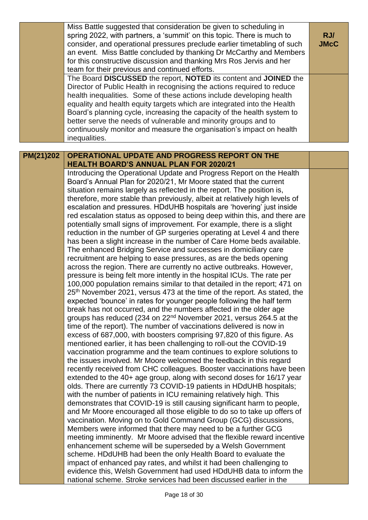|           | Miss Battle suggested that consideration be given to scheduling in<br>spring 2022, with partners, a 'summit' on this topic. There is much to<br>consider, and operational pressures preclude earlier timetabling of such<br>an event. Miss Battle concluded by thanking Dr McCarthy and Members<br>for this constructive discussion and thanking Mrs Ros Jervis and her<br>team for their previous and continued efforts.                                                                                                                                                                                                                                                                                                                                                                                                                                                                                                                                                                                                                                                                                                                                                                                                                                                                                                                                                                                                                                                                                                                                                                                                                                                                                                                                                                                                                                                                                                                                                                                                                                                                                                                                                                                                                                                                                                                                                                                                                                                                                                                                                                                                                                                                                                                                                           | RJ/<br><b>JMcC</b> |
|-----------|-------------------------------------------------------------------------------------------------------------------------------------------------------------------------------------------------------------------------------------------------------------------------------------------------------------------------------------------------------------------------------------------------------------------------------------------------------------------------------------------------------------------------------------------------------------------------------------------------------------------------------------------------------------------------------------------------------------------------------------------------------------------------------------------------------------------------------------------------------------------------------------------------------------------------------------------------------------------------------------------------------------------------------------------------------------------------------------------------------------------------------------------------------------------------------------------------------------------------------------------------------------------------------------------------------------------------------------------------------------------------------------------------------------------------------------------------------------------------------------------------------------------------------------------------------------------------------------------------------------------------------------------------------------------------------------------------------------------------------------------------------------------------------------------------------------------------------------------------------------------------------------------------------------------------------------------------------------------------------------------------------------------------------------------------------------------------------------------------------------------------------------------------------------------------------------------------------------------------------------------------------------------------------------------------------------------------------------------------------------------------------------------------------------------------------------------------------------------------------------------------------------------------------------------------------------------------------------------------------------------------------------------------------------------------------------------------------------------------------------------------------------------------------------|--------------------|
|           | The Board DISCUSSED the report, NOTED its content and JOINED the<br>Director of Public Health in recognising the actions required to reduce<br>health inequalities. Some of these actions include developing health<br>equality and health equity targets which are integrated into the Health<br>Board's planning cycle, increasing the capacity of the health system to<br>better serve the needs of vulnerable and minority groups and to<br>continuously monitor and measure the organisation's impact on health<br>inequalities.                                                                                                                                                                                                                                                                                                                                                                                                                                                                                                                                                                                                                                                                                                                                                                                                                                                                                                                                                                                                                                                                                                                                                                                                                                                                                                                                                                                                                                                                                                                                                                                                                                                                                                                                                                                                                                                                                                                                                                                                                                                                                                                                                                                                                                               |                    |
| PM(21)202 | OPERATIONAL UPDATE AND PROGRESS REPORT ON THE                                                                                                                                                                                                                                                                                                                                                                                                                                                                                                                                                                                                                                                                                                                                                                                                                                                                                                                                                                                                                                                                                                                                                                                                                                                                                                                                                                                                                                                                                                                                                                                                                                                                                                                                                                                                                                                                                                                                                                                                                                                                                                                                                                                                                                                                                                                                                                                                                                                                                                                                                                                                                                                                                                                                       |                    |
|           | <b>HEALTH BOARD'S ANNUAL PLAN FOR 2020/21</b>                                                                                                                                                                                                                                                                                                                                                                                                                                                                                                                                                                                                                                                                                                                                                                                                                                                                                                                                                                                                                                                                                                                                                                                                                                                                                                                                                                                                                                                                                                                                                                                                                                                                                                                                                                                                                                                                                                                                                                                                                                                                                                                                                                                                                                                                                                                                                                                                                                                                                                                                                                                                                                                                                                                                       |                    |
|           | Introducing the Operational Update and Progress Report on the Health<br>Board's Annual Plan for 2020/21, Mr Moore stated that the current<br>situation remains largely as reflected in the report. The position is,<br>therefore, more stable than previously, albeit at relatively high levels of<br>escalation and pressures. HDdUHB hospitals are 'hovering' just inside<br>red escalation status as opposed to being deep within this, and there are<br>potentially small signs of improvement. For example, there is a slight<br>reduction in the number of GP surgeries operating at Level 4 and there<br>has been a slight increase in the number of Care Home beds available.<br>The enhanced Bridging Service and successes in domiciliary care<br>recruitment are helping to ease pressures, as are the beds opening<br>across the region. There are currently no active outbreaks. However,<br>pressure is being felt more intently in the hospital ICUs. The rate per<br>100,000 population remains similar to that detailed in the report; 471 on<br>25 <sup>th</sup> November 2021, versus 473 at the time of the report. As stated, the<br>expected 'bounce' in rates for younger people following the half term<br>break has not occurred, and the numbers affected in the older age<br>groups has reduced (234 on 22 <sup>nd</sup> November 2021, versus 264.5 at the<br>time of the report). The number of vaccinations delivered is now in<br>excess of 687,000, with boosters comprising 97,820 of this figure. As<br>mentioned earlier, it has been challenging to roll-out the COVID-19<br>vaccination programme and the team continues to explore solutions to<br>the issues involved. Mr Moore welcomed the feedback in this regard<br>recently received from CHC colleagues. Booster vaccinations have been<br>extended to the 40+ age group, along with second doses for 16/17 year<br>olds. There are currently 73 COVID-19 patients in HDdUHB hospitals;<br>with the number of patients in ICU remaining relatively high. This<br>demonstrates that COVID-19 is still causing significant harm to people,<br>and Mr Moore encouraged all those eligible to do so to take up offers of<br>vaccination. Moving on to Gold Command Group (GCG) discussions,<br>Members were informed that there may need to be a further GCG<br>meeting imminently. Mr Moore advised that the flexible reward incentive<br>enhancement scheme will be superseded by a Welsh Government<br>scheme. HDdUHB had been the only Health Board to evaluate the<br>impact of enhanced pay rates, and whilst it had been challenging to<br>evidence this, Welsh Government had used HDdUHB data to inform the<br>national scheme. Stroke services had been discussed earlier in the |                    |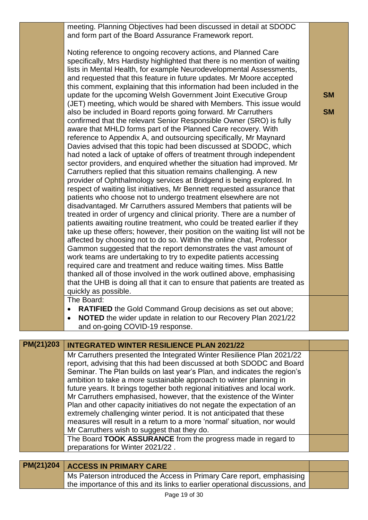meeting. Planning Objectives had been discussed in detail at SDODC and form part of the Board Assurance Framework report.

Noting reference to ongoing recovery actions, and Planned Care specifically, Mrs Hardisty highlighted that there is no mention of waiting lists in Mental Health, for example Neurodevelopmental Assessments, and requested that this feature in future updates. Mr Moore accepted this comment, explaining that this information had been included in the update for the upcoming Welsh Government Joint Executive Group (JET) meeting, which would be shared with Members. This issue would also be included in Board reports going forward. Mr Carruthers confirmed that the relevant Senior Responsible Owner (SRO) is fully aware that MHLD forms part of the Planned Care recovery. With reference to Appendix A, and outsourcing specifically, Mr Maynard Davies advised that this topic had been discussed at SDODC, which had noted a lack of uptake of offers of treatment through independent sector providers, and enquired whether the situation had improved. Mr Carruthers replied that this situation remains challenging. A new provider of Ophthalmology services at Bridgend is being explored. In respect of waiting list initiatives, Mr Bennett requested assurance that patients who choose not to undergo treatment elsewhere are not disadvantaged. Mr Carruthers assured Members that patients will be treated in order of urgency and clinical priority. There are a number of patients awaiting routine treatment, who could be treated earlier if they take up these offers; however, their position on the waiting list will not be affected by choosing not to do so. Within the online chat, Professor Gammon suggested that the report demonstrates the vast amount of work teams are undertaking to try to expedite patients accessing required care and treatment and reduce waiting times. Miss Battle thanked all of those involved in the work outlined above, emphasising that the UHB is doing all that it can to ensure that patients are treated as quickly as possible.

**SM**

**SM**

The Board:

- **RATIFIED** the Gold Command Group decisions as set out above;
- **NOTED** the wider update in relation to our Recovery Plan 2021/22 and on-going COVID-19 response.

| PM(21)203 | <b>INTEGRATED WINTER RESILIENCE PLAN 2021/22</b>                                                                                                 |  |
|-----------|--------------------------------------------------------------------------------------------------------------------------------------------------|--|
|           | Mr Carruthers presented the Integrated Winter Resilience Plan 2021/22                                                                            |  |
|           | report, advising that this had been discussed at both SDODC and Board                                                                            |  |
|           | Seminar. The Plan builds on last year's Plan, and indicates the region's<br>ambition to take a more sustainable approach to winter planning in   |  |
|           | future years. It brings together both regional initiatives and local work.                                                                       |  |
|           | Mr Carruthers emphasised, however, that the existence of the Winter                                                                              |  |
|           | Plan and other capacity initiatives do not negate the expectation of an<br>extremely challenging winter period. It is not anticipated that these |  |
|           | measures will result in a return to a more 'normal' situation, nor would                                                                         |  |
|           | Mr Carruthers wish to suggest that they do.                                                                                                      |  |
|           | The Board TOOK ASSURANCE from the progress made in regard to                                                                                     |  |
|           | preparations for Winter 2021/22.                                                                                                                 |  |
|           |                                                                                                                                                  |  |

| PM(21)204   ACCESS IN PRIMARY CARE                                           |  |
|------------------------------------------------------------------------------|--|
| Ms Paterson introduced the Access in Primary Care report, emphasising        |  |
| the importance of this and its links to earlier operational discussions, and |  |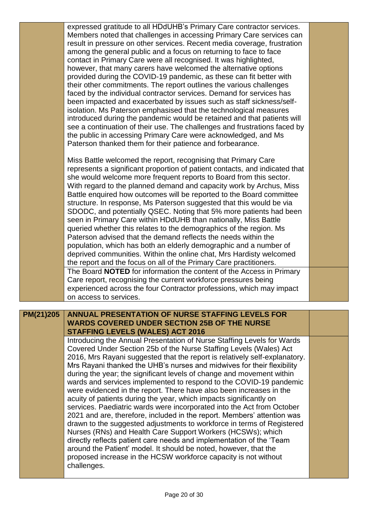expressed gratitude to all HDdUHB's Primary Care contractor services. Members noted that challenges in accessing Primary Care services can result in pressure on other services. Recent media coverage, frustration among the general public and a focus on returning to face to face contact in Primary Care were all recognised. It was highlighted, however, that many carers have welcomed the alternative options provided during the COVID-19 pandemic, as these can fit better with their other commitments. The report outlines the various challenges faced by the individual contractor services. Demand for services has been impacted and exacerbated by issues such as staff sickness/selfisolation. Ms Paterson emphasised that the technological measures introduced during the pandemic would be retained and that patients will see a continuation of their use. The challenges and frustrations faced by the public in accessing Primary Care were acknowledged, and Ms Paterson thanked them for their patience and forbearance.

Miss Battle welcomed the report, recognising that Primary Care represents a significant proportion of patient contacts, and indicated that she would welcome more frequent reports to Board from this sector. With regard to the planned demand and capacity work by Archus, Miss Battle enquired how outcomes will be reported to the Board committee structure. In response, Ms Paterson suggested that this would be via SDODC, and potentially QSEC. Noting that 5% more patients had been seen in Primary Care within HDdUHB than nationally, Miss Battle queried whether this relates to the demographics of the region. Ms Paterson advised that the demand reflects the needs within the population, which has both an elderly demographic and a number of deprived communities. Within the online chat, Mrs Hardisty welcomed the report and the focus on all of the Primary Care practitioners. The Board **NOTED** for information the content of the Access in Primary Care report, recognising the current workforce pressures being experienced across the four Contractor professions, which may impact on access to services.

# **PM(21)205 ANNUAL PRESENTATION OF NURSE STAFFING LEVELS FOR WARDS COVERED UNDER SECTION 25B OF THE NURSE STAFFING LEVELS (WALES) ACT 2016**

Introducing the Annual Presentation of Nurse Staffing Levels for Wards Covered Under Section 25b of the Nurse Staffing Levels (Wales) Act 2016, Mrs Rayani suggested that the report is relatively self-explanatory. Mrs Rayani thanked the UHB's nurses and midwives for their flexibility during the year; the significant levels of change and movement within wards and services implemented to respond to the COVID-19 pandemic were evidenced in the report. There have also been increases in the acuity of patients during the year, which impacts significantly on services. Paediatric wards were incorporated into the Act from October 2021 and are, therefore, included in the report. Members' attention was drawn to the suggested adjustments to workforce in terms of Registered Nurses (RNs) and Health Care Support Workers (HCSWs); which directly reflects patient care needs and implementation of the 'Team around the Patient' model. It should be noted, however, that the proposed increase in the HCSW workforce capacity is not without challenges.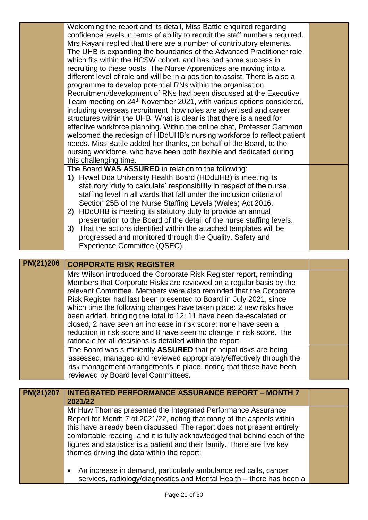|           | Welcoming the report and its detail, Miss Battle enquired regarding<br>confidence levels in terms of ability to recruit the staff numbers required.<br>Mrs Rayani replied that there are a number of contributory elements.<br>The UHB is expanding the boundaries of the Advanced Practitioner role,<br>which fits within the HCSW cohort, and has had some success in<br>recruiting to these posts. The Nurse Apprentices are moving into a<br>different level of role and will be in a position to assist. There is also a<br>programme to develop potential RNs within the organisation.<br>Recruitment/development of RNs had been discussed at the Executive<br>Team meeting on 24 <sup>th</sup> November 2021, with various options considered,<br>including overseas recruitment, how roles are advertised and career<br>structures within the UHB. What is clear is that there is a need for<br>effective workforce planning. Within the online chat, Professor Gammon<br>welcomed the redesign of HDdUHB's nursing workforce to reflect patient<br>needs. Miss Battle added her thanks, on behalf of the Board, to the |  |
|-----------|----------------------------------------------------------------------------------------------------------------------------------------------------------------------------------------------------------------------------------------------------------------------------------------------------------------------------------------------------------------------------------------------------------------------------------------------------------------------------------------------------------------------------------------------------------------------------------------------------------------------------------------------------------------------------------------------------------------------------------------------------------------------------------------------------------------------------------------------------------------------------------------------------------------------------------------------------------------------------------------------------------------------------------------------------------------------------------------------------------------------------------|--|
|           | nursing workforce, who have been both flexible and dedicated during<br>this challenging time.<br>The Board WAS ASSURED in relation to the following:<br>1) Hywel Dda University Health Board (HDdUHB) is meeting its<br>statutory 'duty to calculate' responsibility in respect of the nurse<br>staffing level in all wards that fall under the inclusion criteria of<br>Section 25B of the Nurse Staffing Levels (Wales) Act 2016.<br>2) HDdUHB is meeting its statutory duty to provide an annual<br>presentation to the Board of the detail of the nurse staffing levels.<br>3) That the actions identified within the attached templates will be<br>progressed and monitored through the Quality, Safety and<br>Experience Committee (QSEC).                                                                                                                                                                                                                                                                                                                                                                                 |  |
| PM(21)206 |                                                                                                                                                                                                                                                                                                                                                                                                                                                                                                                                                                                                                                                                                                                                                                                                                                                                                                                                                                                                                                                                                                                                  |  |
|           | <b>CORPORATE RISK REGISTER</b>                                                                                                                                                                                                                                                                                                                                                                                                                                                                                                                                                                                                                                                                                                                                                                                                                                                                                                                                                                                                                                                                                                   |  |
|           | Mrs Wilson introduced the Corporate Risk Register report, reminding<br>Members that Corporate Risks are reviewed on a regular basis by the<br>relevant Committee. Members were also reminded that the Corporate<br>Risk Register had last been presented to Board in July 2021, since<br>which time the following changes have taken place: 2 new risks have<br>been added, bringing the total to 12; 11 have been de-escalated or<br>closed; 2 have seen an increase in risk score; none have seen a<br>reduction in risk score and 8 have seen no change in risk score. The<br>rationale for all decisions is detailed within the report.<br>The Board was sufficiently ASSURED that principal risks are being<br>assessed, managed and reviewed appropriately/effectively through the<br>risk management arrangements in place, noting that these have been<br>reviewed by Board level Committees.                                                                                                                                                                                                                            |  |
| PM(21)207 | <b>INTEGRATED PERFORMANCE ASSURANCE REPORT - MONTH 7</b>                                                                                                                                                                                                                                                                                                                                                                                                                                                                                                                                                                                                                                                                                                                                                                                                                                                                                                                                                                                                                                                                         |  |
|           | 2021/22<br>Mr Huw Thomas presented the Integrated Performance Assurance<br>Report for Month 7 of 2021/22, noting that many of the aspects within<br>this have already been discussed. The report does not present entirely<br>comfortable reading, and it is fully acknowledged that behind each of the<br>figures and statistics is a patient and their family. There are five key<br>themes driving the data within the report:<br>An increase in demand, particularly ambulance red calls, cancer<br>٠                                                                                                                                                                                                                                                                                                                                                                                                                                                                                                                                                                                                                        |  |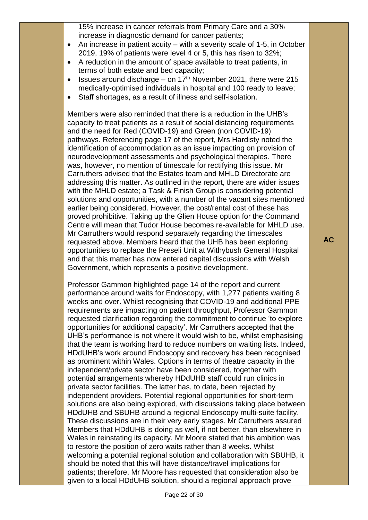15% increase in cancer referrals from Primary Care and a 30% increase in diagnostic demand for cancer patients;

- An increase in patient acuity with a severity scale of 1-5, in October 2019, 19% of patients were level 4 or 5, this has risen to 32%;
- A reduction in the amount of space available to treat patients, in terms of both estate and bed capacity;
- **ISSUES around discharge on 17th November 2021, there were 215** medically-optimised individuals in hospital and 100 ready to leave;
- Staff shortages, as a result of illness and self-isolation.

Members were also reminded that there is a reduction in the UHB's capacity to treat patients as a result of social distancing requirements and the need for Red (COVID-19) and Green (non COVID-19) pathways. Referencing page 17 of the report, Mrs Hardisty noted the identification of accommodation as an issue impacting on provision of neurodevelopment assessments and psychological therapies. There was, however, no mention of timescale for rectifying this issue. Mr Carruthers advised that the Estates team and MHLD Directorate are addressing this matter. As outlined in the report, there are wider issues with the MHLD estate; a Task & Finish Group is considering potential solutions and opportunities, with a number of the vacant sites mentioned earlier being considered. However, the cost/rental cost of these has proved prohibitive. Taking up the Glien House option for the Command Centre will mean that Tudor House becomes re-available for MHLD use. Mr Carruthers would respond separately regarding the timescales requested above. Members heard that the UHB has been exploring opportunities to replace the Preseli Unit at Withybush General Hospital and that this matter has now entered capital discussions with Welsh Government, which represents a positive development.

Professor Gammon highlighted page 14 of the report and current performance around waits for Endoscopy, with 1,277 patients waiting 8 weeks and over. Whilst recognising that COVID-19 and additional PPE requirements are impacting on patient throughput, Professor Gammon requested clarification regarding the commitment to continue 'to explore opportunities for additional capacity'. Mr Carruthers accepted that the UHB's performance is not where it would wish to be, whilst emphasising that the team is working hard to reduce numbers on waiting lists. Indeed, HDdUHB's work around Endoscopy and recovery has been recognised as prominent within Wales. Options in terms of theatre capacity in the independent/private sector have been considered, together with potential arrangements whereby HDdUHB staff could run clinics in private sector facilities. The latter has, to date, been rejected by independent providers. Potential regional opportunities for short-term solutions are also being explored, with discussions taking place between HDdUHB and SBUHB around a regional Endoscopy multi-suite facility. These discussions are in their very early stages. Mr Carruthers assured Members that HDdUHB is doing as well, if not better, than elsewhere in Wales in reinstating its capacity. Mr Moore stated that his ambition was to restore the position of zero waits rather than 8 weeks. Whilst welcoming a potential regional solution and collaboration with SBUHB, it should be noted that this will have distance/travel implications for patients; therefore, Mr Moore has requested that consideration also be given to a local HDdUHB solution, should a regional approach prove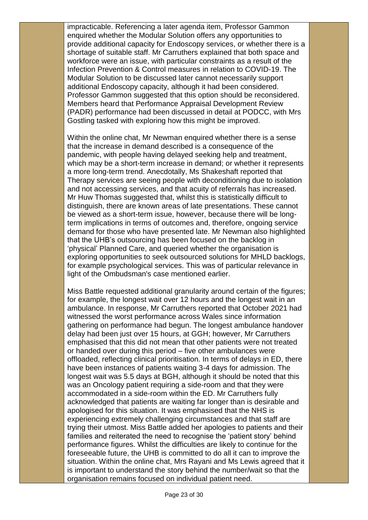impracticable. Referencing a later agenda item, Professor Gammon enquired whether the Modular Solution offers any opportunities to provide additional capacity for Endoscopy services, or whether there is a shortage of suitable staff. Mr Carruthers explained that both space and workforce were an issue, with particular constraints as a result of the Infection Prevention & Control measures in relation to COVID-19. The Modular Solution to be discussed later cannot necessarily support additional Endoscopy capacity, although it had been considered. Professor Gammon suggested that this option should be reconsidered. Members heard that Performance Appraisal Development Review (PADR) performance had been discussed in detail at PODCC, with Mrs Gostling tasked with exploring how this might be improved.

Within the online chat, Mr Newman enquired whether there is a sense that the increase in demand described is a consequence of the pandemic, with people having delayed seeking help and treatment, which may be a short-term increase in demand; or whether it represents a more long-term trend. Anecdotally, Ms Shakeshaft reported that Therapy services are seeing people with deconditioning due to isolation and not accessing services, and that acuity of referrals has increased. Mr Huw Thomas suggested that, whilst this is statistically difficult to distinguish, there are known areas of late presentations. These cannot be viewed as a short-term issue, however, because there will be longterm implications in terms of outcomes and, therefore, ongoing service demand for those who have presented late. Mr Newman also highlighted that the UHB's outsourcing has been focused on the backlog in 'physical' Planned Care, and queried whether the organisation is exploring opportunities to seek outsourced solutions for MHLD backlogs, for example psychological services. This was of particular relevance in light of the Ombudsman's case mentioned earlier.

Miss Battle requested additional granularity around certain of the figures; for example, the longest wait over 12 hours and the longest wait in an ambulance. In response, Mr Carruthers reported that October 2021 had witnessed the worst performance across Wales since information gathering on performance had begun. The longest ambulance handover delay had been just over 15 hours, at GGH; however, Mr Carruthers emphasised that this did not mean that other patients were not treated or handed over during this period – five other ambulances were offloaded, reflecting clinical prioritisation. In terms of delays in ED, there have been instances of patients waiting 3-4 days for admission. The longest wait was 5.5 days at BGH, although it should be noted that this was an Oncology patient requiring a side-room and that they were accommodated in a side-room within the ED. Mr Carruthers fully acknowledged that patients are waiting far longer than is desirable and apologised for this situation. It was emphasised that the NHS is experiencing extremely challenging circumstances and that staff are trying their utmost. Miss Battle added her apologies to patients and their families and reiterated the need to recognise the 'patient story' behind performance figures. Whilst the difficulties are likely to continue for the foreseeable future, the UHB is committed to do all it can to improve the situation. Within the online chat, Mrs Rayani and Ms Lewis agreed that it is important to understand the story behind the number/wait so that the organisation remains focused on individual patient need.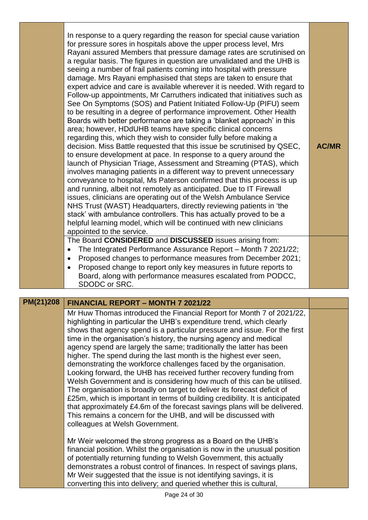| In response to a query regarding the reason for special cause variation<br>for pressure sores in hospitals above the upper process level, Mrs<br>Rayani assured Members that pressure damage rates are scrutinised on<br>a regular basis. The figures in question are unvalidated and the UHB is<br>seeing a number of frail patients coming into hospital with pressure<br>damage. Mrs Rayani emphasised that steps are taken to ensure that<br>expert advice and care is available wherever it is needed. With regard to<br>Follow-up appointments, Mr Carruthers indicated that initiatives such as<br>See On Symptoms (SOS) and Patient Initiated Follow-Up (PIFU) seem<br>to be resulting in a degree of performance improvement. Other Health<br>Boards with better performance are taking a 'blanket approach' in this<br>area; however, HDdUHB teams have specific clinical concerns<br>regarding this, which they wish to consider fully before making a<br>decision. Miss Battle requested that this issue be scrutinised by QSEC,<br>to ensure development at pace. In response to a query around the<br>launch of Physician Triage, Assessment and Streaming (PTAS), which<br>involves managing patients in a different way to prevent unnecessary<br>conveyance to hospital, Ms Paterson confirmed that this process is up<br>and running, albeit not remotely as anticipated. Due to IT Firewall<br>issues, clinicians are operating out of the Welsh Ambulance Service<br>NHS Trust (WAST) Headquarters, directly reviewing patients in 'the<br>stack' with ambulance controllers. This has actually proved to be a<br>helpful learning model, which will be continued with new clinicians<br>appointed to the service. | <b>AC/MR</b> |
|----------------------------------------------------------------------------------------------------------------------------------------------------------------------------------------------------------------------------------------------------------------------------------------------------------------------------------------------------------------------------------------------------------------------------------------------------------------------------------------------------------------------------------------------------------------------------------------------------------------------------------------------------------------------------------------------------------------------------------------------------------------------------------------------------------------------------------------------------------------------------------------------------------------------------------------------------------------------------------------------------------------------------------------------------------------------------------------------------------------------------------------------------------------------------------------------------------------------------------------------------------------------------------------------------------------------------------------------------------------------------------------------------------------------------------------------------------------------------------------------------------------------------------------------------------------------------------------------------------------------------------------------------------------------------------------------------------------------------------------|--------------|
| The Board CONSIDERED and DISCUSSED issues arising from:                                                                                                                                                                                                                                                                                                                                                                                                                                                                                                                                                                                                                                                                                                                                                                                                                                                                                                                                                                                                                                                                                                                                                                                                                                                                                                                                                                                                                                                                                                                                                                                                                                                                                |              |
| The Integrated Performance Assurance Report - Month 7 2021/22;<br>٠                                                                                                                                                                                                                                                                                                                                                                                                                                                                                                                                                                                                                                                                                                                                                                                                                                                                                                                                                                                                                                                                                                                                                                                                                                                                                                                                                                                                                                                                                                                                                                                                                                                                    |              |
| Proposed changes to performance measures from December 2021;<br>٠                                                                                                                                                                                                                                                                                                                                                                                                                                                                                                                                                                                                                                                                                                                                                                                                                                                                                                                                                                                                                                                                                                                                                                                                                                                                                                                                                                                                                                                                                                                                                                                                                                                                      |              |
| Proposed change to report only key measures in future reports to<br>Board, along with performance measures escalated from PODCC,                                                                                                                                                                                                                                                                                                                                                                                                                                                                                                                                                                                                                                                                                                                                                                                                                                                                                                                                                                                                                                                                                                                                                                                                                                                                                                                                                                                                                                                                                                                                                                                                       |              |
| SDODC or SRC.                                                                                                                                                                                                                                                                                                                                                                                                                                                                                                                                                                                                                                                                                                                                                                                                                                                                                                                                                                                                                                                                                                                                                                                                                                                                                                                                                                                                                                                                                                                                                                                                                                                                                                                          |              |

# **PM(21)208 FINANCIAL REPORT – MONTH 7 2021/22**

Mr Huw Thomas introduced the Financial Report for Month 7 of 2021/22, highlighting in particular the UHB's expenditure trend, which clearly shows that agency spend is a particular pressure and issue. For the first time in the organisation's history, the nursing agency and medical agency spend are largely the same; traditionally the latter has been higher. The spend during the last month is the highest ever seen, demonstrating the workforce challenges faced by the organisation. Looking forward, the UHB has received further recovery funding from Welsh Government and is considering how much of this can be utilised. The organisation is broadly on target to deliver its forecast deficit of £25m, which is important in terms of building credibility. It is anticipated that approximately £4.6m of the forecast savings plans will be delivered. This remains a concern for the UHB, and will be discussed with colleagues at Welsh Government.

Mr Weir welcomed the strong progress as a Board on the UHB's financial position. Whilst the organisation is now in the unusual position of potentially returning funding to Welsh Government, this actually demonstrates a robust control of finances. In respect of savings plans, Mr Weir suggested that the issue is not identifying savings, it is converting this into delivery; and queried whether this is cultural,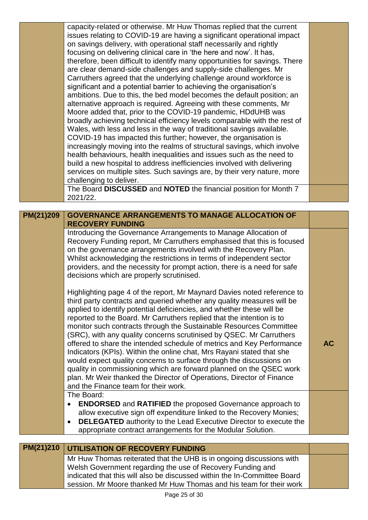|           | challenging to deliver.<br>The Board DISCUSSED and NOTED the financial position for Month 7<br>2021/22.                                           |           |
|-----------|---------------------------------------------------------------------------------------------------------------------------------------------------|-----------|
|           |                                                                                                                                                   |           |
| PM(21)209 | <b>GOVERNANCE ARRANGEMENTS TO MANAGE ALLOCATION OF</b>                                                                                            |           |
|           | <b>RECOVERY FUNDING</b>                                                                                                                           |           |
|           | Introducing the Governance Arrangements to Manage Allocation of                                                                                   |           |
|           | Recovery Funding report, Mr Carruthers emphasised that this is focused                                                                            |           |
|           | on the governance arrangements involved with the Recovery Plan.<br>Whilst acknowledging the restrictions in terms of independent sector           |           |
|           | providers, and the necessity for prompt action, there is a need for safe                                                                          |           |
|           | decisions which are properly scrutinised.                                                                                                         |           |
|           |                                                                                                                                                   |           |
|           | Highlighting page 4 of the report, Mr Maynard Davies noted reference to<br>third party contracts and queried whether any quality measures will be |           |
|           | applied to identify potential deficiencies, and whether these will be                                                                             |           |
|           |                                                                                                                                                   |           |
|           | reported to the Board. Mr Carruthers replied that the intention is to                                                                             |           |
|           | monitor such contracts through the Sustainable Resources Committee                                                                                |           |
|           | (SRC), with any quality concerns scrutinised by QSEC. Mr Carruthers                                                                               |           |
|           | offered to share the intended schedule of metrics and Key Performance                                                                             | <b>AC</b> |
|           | Indicators (KPIs). Within the online chat, Mrs Rayani stated that she                                                                             |           |
|           | would expect quality concerns to surface through the discussions on                                                                               |           |
|           | quality in commissioning which are forward planned on the QSEC work<br>plan. Mr Weir thanked the Director of Operations, Director of Finance      |           |
|           | and the Finance team for their work.                                                                                                              |           |
|           | The Board:                                                                                                                                        |           |
|           | <b>ENDORSED</b> and <b>RATIFIED</b> the proposed Governance approach to<br>$\bullet$                                                              |           |
|           | allow executive sign off expenditure linked to the Recovery Monies;                                                                               |           |
|           | <b>DELEGATED</b> authority to the Lead Executive Director to execute the<br>$\bullet$                                                             |           |
|           | appropriate contract arrangements for the Modular Solution.                                                                                       |           |
|           |                                                                                                                                                   |           |
| PM(21)210 | UTILISATION OF RECOVERY FUNDING                                                                                                                   |           |
|           | Mr Huw Thomas reiterated that the UHB is in ongoing discussions with                                                                              |           |
|           | Welsh Government regarding the use of Recovery Funding and<br>indicated that this will also be discussed within the In-Committee Board            |           |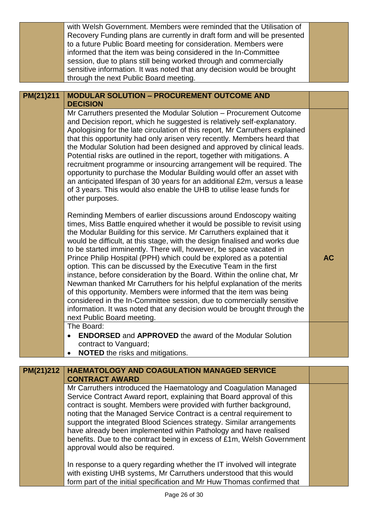| information. It was noted that any decision would be brought through the                                                                                                                                                                                                                                                                                                                                                                                                                                                                                                                                                                                                                                                                                                |
|-------------------------------------------------------------------------------------------------------------------------------------------------------------------------------------------------------------------------------------------------------------------------------------------------------------------------------------------------------------------------------------------------------------------------------------------------------------------------------------------------------------------------------------------------------------------------------------------------------------------------------------------------------------------------------------------------------------------------------------------------------------------------|
| Reminding Members of earlier discussions around Endoscopy waiting<br>times, Miss Battle enquired whether it would be possible to revisit using<br>the Modular Building for this service. Mr Carruthers explained that it<br>would be difficult, at this stage, with the design finalised and works due<br>to be started imminently. There will, however, be space vacated in<br>Prince Philip Hospital (PPH) which could be explored as a potential<br><b>AC</b><br>instance, before consideration by the Board. Within the online chat, Mr<br>Newman thanked Mr Carruthers for his helpful explanation of the merits<br>of this opportunity. Members were informed that the item was being<br>considered in the In-Committee session, due to commercially sensitive    |
| Mr Carruthers presented the Modular Solution – Procurement Outcome<br>and Decision report, which he suggested is relatively self-explanatory.<br>Apologising for the late circulation of this report, Mr Carruthers explained<br>that this opportunity had only arisen very recently. Members heard that<br>the Modular Solution had been designed and approved by clinical leads.<br>Potential risks are outlined in the report, together with mitigations. A<br>recruitment programme or insourcing arrangement will be required. The<br>opportunity to purchase the Modular Building would offer an asset with<br>an anticipated lifespan of 30 years for an additional £2m, versus a lease<br>of 3 years. This would also enable the UHB to utilise lease funds for |
|                                                                                                                                                                                                                                                                                                                                                                                                                                                                                                                                                                                                                                                                                                                                                                         |
| with Welsh Government. Members were reminded that the Utilisation of<br>Recovery Funding plans are currently in draft form and will be presented<br>to a future Public Board meeting for consideration. Members were<br>informed that the item was being considered in the In-Committee<br>session, due to plans still being worked through and commercially<br>sensitive information. It was noted that any decision would be brought                                                                                                                                                                                                                                                                                                                                  |
|                                                                                                                                                                                                                                                                                                                                                                                                                                                                                                                                                                                                                                                                                                                                                                         |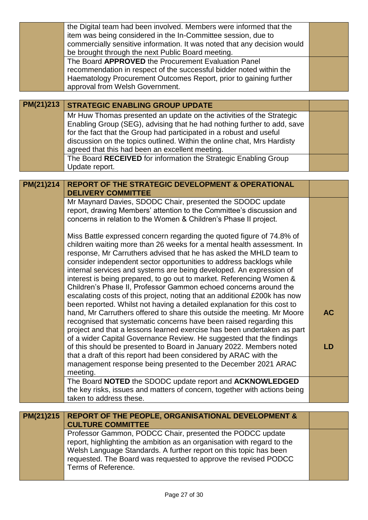| PM(21)213 | the Digital team had been involved. Members were informed that the<br>item was being considered in the In-Committee session, due to<br>commercially sensitive information. It was noted that any decision would<br>be brought through the next Public Board meeting.<br>The Board APPROVED the Procurement Evaluation Panel<br>recommendation in respect of the successful bidder noted within the<br>Haematology Procurement Outcomes Report, prior to gaining further<br>approval from Welsh Government.<br><b>STRATEGIC ENABLING GROUP UPDATE</b><br>Mr Huw Thomas presented an update on the activities of the Strategic                                                                                                                                                                                                                                                                                                                                                                                                                                                                                                                                                              |                 |
|-----------|-------------------------------------------------------------------------------------------------------------------------------------------------------------------------------------------------------------------------------------------------------------------------------------------------------------------------------------------------------------------------------------------------------------------------------------------------------------------------------------------------------------------------------------------------------------------------------------------------------------------------------------------------------------------------------------------------------------------------------------------------------------------------------------------------------------------------------------------------------------------------------------------------------------------------------------------------------------------------------------------------------------------------------------------------------------------------------------------------------------------------------------------------------------------------------------------|-----------------|
|           | Enabling Group (SEG), advising that he had nothing further to add, save<br>for the fact that the Group had participated in a robust and useful<br>discussion on the topics outlined. Within the online chat, Mrs Hardisty<br>agreed that this had been an excellent meeting.<br>The Board RECEIVED for information the Strategic Enabling Group<br>Update report.                                                                                                                                                                                                                                                                                                                                                                                                                                                                                                                                                                                                                                                                                                                                                                                                                         |                 |
|           |                                                                                                                                                                                                                                                                                                                                                                                                                                                                                                                                                                                                                                                                                                                                                                                                                                                                                                                                                                                                                                                                                                                                                                                           |                 |
| PM(21)214 | <b>REPORT OF THE STRATEGIC DEVELOPMENT &amp; OPERATIONAL</b>                                                                                                                                                                                                                                                                                                                                                                                                                                                                                                                                                                                                                                                                                                                                                                                                                                                                                                                                                                                                                                                                                                                              |                 |
|           | <b>DELIVERY COMMITTEE</b>                                                                                                                                                                                                                                                                                                                                                                                                                                                                                                                                                                                                                                                                                                                                                                                                                                                                                                                                                                                                                                                                                                                                                                 |                 |
|           | Mr Maynard Davies, SDODC Chair, presented the SDODC update<br>report, drawing Members' attention to the Committee's discussion and<br>concerns in relation to the Women & Children's Phase II project.                                                                                                                                                                                                                                                                                                                                                                                                                                                                                                                                                                                                                                                                                                                                                                                                                                                                                                                                                                                    |                 |
|           | Miss Battle expressed concern regarding the quoted figure of 74.8% of<br>children waiting more than 26 weeks for a mental health assessment. In<br>response, Mr Carruthers advised that he has asked the MHLD team to<br>consider independent sector opportunities to address backlogs while<br>internal services and systems are being developed. An expression of<br>interest is being prepared, to go out to market. Referencing Women &<br>Children's Phase II, Professor Gammon echoed concerns around the<br>escalating costs of this project, noting that an additional £200k has now<br>been reported. Whilst not having a detailed explanation for this cost to<br>hand, Mr Carruthers offered to share this outside the meeting. Mr Moore<br>recognised that systematic concerns have been raised regarding this<br>project and that a lessons learned exercise has been undertaken as part<br>of a wider Capital Governance Review. He suggested that the findings<br>of this should be presented to Board in January 2022. Members noted<br>that a draft of this report had been considered by ARAC with the<br>management response being presented to the December 2021 ARAC | <b>AC</b><br>LD |
|           | meeting.                                                                                                                                                                                                                                                                                                                                                                                                                                                                                                                                                                                                                                                                                                                                                                                                                                                                                                                                                                                                                                                                                                                                                                                  |                 |
|           | The Board NOTED the SDODC update report and ACKNOWLEDGED<br>the key risks, issues and matters of concern, together with actions being                                                                                                                                                                                                                                                                                                                                                                                                                                                                                                                                                                                                                                                                                                                                                                                                                                                                                                                                                                                                                                                     |                 |
|           | taken to address these.                                                                                                                                                                                                                                                                                                                                                                                                                                                                                                                                                                                                                                                                                                                                                                                                                                                                                                                                                                                                                                                                                                                                                                   |                 |
| PM(21)215 | <b>REPORT OF THE PEOPLE, ORGANISATIONAL DEVELOPMENT &amp;</b>                                                                                                                                                                                                                                                                                                                                                                                                                                                                                                                                                                                                                                                                                                                                                                                                                                                                                                                                                                                                                                                                                                                             |                 |
|           | <b>CULTURE COMMITTEE</b>                                                                                                                                                                                                                                                                                                                                                                                                                                                                                                                                                                                                                                                                                                                                                                                                                                                                                                                                                                                                                                                                                                                                                                  |                 |
|           | Professor Gammon, PODCC Chair, presented the PODCC update<br>report, highlighting the ambition as an organisation with regard to the<br>Welsh Language Standards. A further report on this topic has been<br>requested. The Board was requested to approve the revised PODCC<br>Terms of Reference.                                                                                                                                                                                                                                                                                                                                                                                                                                                                                                                                                                                                                                                                                                                                                                                                                                                                                       |                 |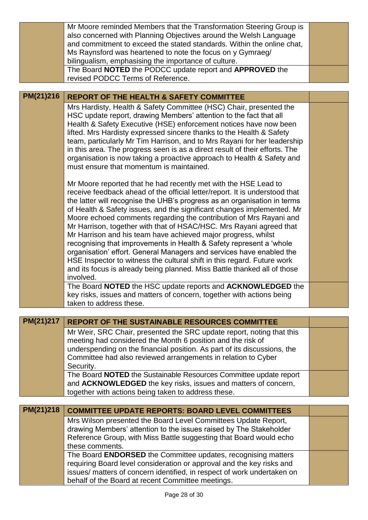|           | Mr Moore reminded Members that the Transformation Steering Group is                                                                         |  |
|-----------|---------------------------------------------------------------------------------------------------------------------------------------------|--|
|           | also concerned with Planning Objectives around the Welsh Language<br>and commitment to exceed the stated standards. Within the online chat, |  |
|           | Ms Raynsford was heartened to note the focus on y Gymraeg/                                                                                  |  |
|           | bilingualism, emphasising the importance of culture.                                                                                        |  |
|           | The Board NOTED the PODCC update report and APPROVED the                                                                                    |  |
|           | revised PODCC Terms of Reference.                                                                                                           |  |
|           |                                                                                                                                             |  |
| PM(21)216 | <b>REPORT OF THE HEALTH &amp; SAFETY COMMITTEE</b>                                                                                          |  |
|           | Mrs Hardisty, Health & Safety Committee (HSC) Chair, presented the<br>HSC update report, drawing Members' attention to the fact that all    |  |
|           | Health & Safety Executive (HSE) enforcement notices have now been                                                                           |  |
|           | lifted. Mrs Hardisty expressed sincere thanks to the Health & Safety                                                                        |  |
|           | team, particularly Mr Tim Harrison, and to Mrs Rayani for her leadership                                                                    |  |
|           | in this area. The progress seen is as a direct result of their efforts. The                                                                 |  |
|           | organisation is now taking a proactive approach to Health & Safety and                                                                      |  |
|           | must ensure that momentum is maintained.                                                                                                    |  |
|           | Mr Moore reported that he had recently met with the HSE Lead to                                                                             |  |
|           | receive feedback ahead of the official letter/report. It is understood that                                                                 |  |
|           | the latter will recognise the UHB's progress as an organisation in terms                                                                    |  |
|           | of Health & Safety issues, and the significant changes implemented. Mr                                                                      |  |
|           | Moore echoed comments regarding the contribution of Mrs Rayani and                                                                          |  |
|           | Mr Harrison, together with that of HSAC/HSC. Mrs Rayani agreed that<br>Mr Harrison and his team have achieved major progress, whilst        |  |
|           | recognising that improvements in Health & Safety represent a 'whole                                                                         |  |
|           | organisation' effort. General Managers and services have enabled the                                                                        |  |
|           | HSE Inspector to witness the cultural shift in this regard. Future work                                                                     |  |
|           | and its focus is already being planned. Miss Battle thanked all of those                                                                    |  |
|           | involved.                                                                                                                                   |  |
|           | The Board NOTED the HSC update reports and ACKNOWLEDGED the<br>key risks, issues and matters of concern, together with actions being        |  |
|           | taken to address these.                                                                                                                     |  |
|           |                                                                                                                                             |  |
| PM(21)217 | <b>REPORT OF THE SUSTAINABLE RESOURCES COMMITTEE</b>                                                                                        |  |
|           | Mr Weir, SRC Chair, presented the SRC update report, noting that this                                                                       |  |
|           | meeting had considered the Month 6 position and the risk of                                                                                 |  |
|           | underspending on the financial position. As part of its discussions, the                                                                    |  |
|           | Committee had also reviewed arrangements in relation to Cyber<br>Security.                                                                  |  |
|           | The Board NOTED the Sustainable Resources Committee update report                                                                           |  |
|           | and ACKNOWLEDGED the key risks, issues and matters of concern,                                                                              |  |
|           | together with actions being taken to address these.                                                                                         |  |
|           |                                                                                                                                             |  |
| PM(21)218 | <b>COMMITTEE UPDATE REPORTS: BOARD LEVEL COMMITTEES</b>                                                                                     |  |
|           | Mrs Wilson presented the Board Level Committees Update Report,                                                                              |  |
|           | drawing Members' attention to the issues raised by The Stakeholder<br>Reference Group, with Miss Battle suggesting that Board would echo    |  |
|           | these comments.                                                                                                                             |  |
|           | The Board ENDORSED the Committee updates, recognising matters                                                                               |  |
|           | requiring Board level consideration or approval and the key risks and                                                                       |  |
|           | issues/ matters of concern identified, in respect of work undertaken on                                                                     |  |
|           | behalf of the Board at recent Committee meetings.                                                                                           |  |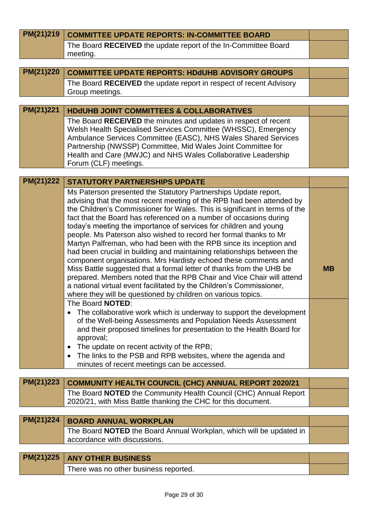| PM(21)219 | <b>COMMITTEE UPDATE REPORTS: IN-COMMITTEE BOARD</b>                                                                                                                                                                                                                                                                                                                                                                                                                                                                                                                                                                                                                                                                                                                                                                                                                                                                                                                                                                                                                                                                                                                                                                                                                                                                                                                                |           |
|-----------|------------------------------------------------------------------------------------------------------------------------------------------------------------------------------------------------------------------------------------------------------------------------------------------------------------------------------------------------------------------------------------------------------------------------------------------------------------------------------------------------------------------------------------------------------------------------------------------------------------------------------------------------------------------------------------------------------------------------------------------------------------------------------------------------------------------------------------------------------------------------------------------------------------------------------------------------------------------------------------------------------------------------------------------------------------------------------------------------------------------------------------------------------------------------------------------------------------------------------------------------------------------------------------------------------------------------------------------------------------------------------------|-----------|
|           | The Board RECEIVED the update report of the In-Committee Board<br>meeting.                                                                                                                                                                                                                                                                                                                                                                                                                                                                                                                                                                                                                                                                                                                                                                                                                                                                                                                                                                                                                                                                                                                                                                                                                                                                                                         |           |
|           |                                                                                                                                                                                                                                                                                                                                                                                                                                                                                                                                                                                                                                                                                                                                                                                                                                                                                                                                                                                                                                                                                                                                                                                                                                                                                                                                                                                    |           |
| PM(21)220 | <b>COMMITTEE UPDATE REPORTS: HDdUHB ADVISORY GROUPS</b>                                                                                                                                                                                                                                                                                                                                                                                                                                                                                                                                                                                                                                                                                                                                                                                                                                                                                                                                                                                                                                                                                                                                                                                                                                                                                                                            |           |
|           | The Board RECEIVED the update report in respect of recent Advisory<br>Group meetings.                                                                                                                                                                                                                                                                                                                                                                                                                                                                                                                                                                                                                                                                                                                                                                                                                                                                                                                                                                                                                                                                                                                                                                                                                                                                                              |           |
|           |                                                                                                                                                                                                                                                                                                                                                                                                                                                                                                                                                                                                                                                                                                                                                                                                                                                                                                                                                                                                                                                                                                                                                                                                                                                                                                                                                                                    |           |
| PM(21)221 | <b>HDdUHB JOINT COMMITTEES &amp; COLLABORATIVES</b>                                                                                                                                                                                                                                                                                                                                                                                                                                                                                                                                                                                                                                                                                                                                                                                                                                                                                                                                                                                                                                                                                                                                                                                                                                                                                                                                |           |
|           | The Board RECEIVED the minutes and updates in respect of recent<br>Welsh Health Specialised Services Committee (WHSSC), Emergency<br>Ambulance Services Committee (EASC), NHS Wales Shared Services<br>Partnership (NWSSP) Committee, Mid Wales Joint Committee for<br>Health and Care (MWJC) and NHS Wales Collaborative Leadership<br>Forum (CLF) meetings.                                                                                                                                                                                                                                                                                                                                                                                                                                                                                                                                                                                                                                                                                                                                                                                                                                                                                                                                                                                                                      |           |
| PM(21)222 | <b>STATUTORY PARTNERSHIPS UPDATE</b>                                                                                                                                                                                                                                                                                                                                                                                                                                                                                                                                                                                                                                                                                                                                                                                                                                                                                                                                                                                                                                                                                                                                                                                                                                                                                                                                               |           |
|           | Ms Paterson presented the Statutory Partnerships Update report,<br>advising that the most recent meeting of the RPB had been attended by<br>the Children's Commissioner for Wales. This is significant in terms of the<br>fact that the Board has referenced on a number of occasions during<br>today's meeting the importance of services for children and young<br>people. Ms Paterson also wished to record her formal thanks to Mr<br>Martyn Palfreman, who had been with the RPB since its inception and<br>had been crucial in building and maintaining relationships between the<br>component organisations. Mrs Hardisty echoed these comments and<br>Miss Battle suggested that a formal letter of thanks from the UHB be<br>prepared. Members noted that the RPB Chair and Vice Chair will attend<br>a national virtual event facilitated by the Children's Commissioner,<br>where they will be questioned by children on various topics.<br>The Board NOTED:<br>The collaborative work which is underway to support the development<br>of the Well-being Assessments and Population Needs Assessment<br>and their proposed timelines for presentation to the Health Board for<br>approval;<br>The update on recent activity of the RPB;<br>٠<br>The links to the PSB and RPB websites, where the agenda and<br>$\bullet$<br>minutes of recent meetings can be accessed. | <b>MB</b> |
|           |                                                                                                                                                                                                                                                                                                                                                                                                                                                                                                                                                                                                                                                                                                                                                                                                                                                                                                                                                                                                                                                                                                                                                                                                                                                                                                                                                                                    |           |
| PM(21)223 | <b>COMMUNITY HEALTH COUNCIL (CHC) ANNUAL REPORT 2020/21</b>                                                                                                                                                                                                                                                                                                                                                                                                                                                                                                                                                                                                                                                                                                                                                                                                                                                                                                                                                                                                                                                                                                                                                                                                                                                                                                                        |           |
|           | The Board NOTED the Community Health Council (CHC) Annual Report<br>2020/21, with Miss Battle thanking the CHC for this document.                                                                                                                                                                                                                                                                                                                                                                                                                                                                                                                                                                                                                                                                                                                                                                                                                                                                                                                                                                                                                                                                                                                                                                                                                                                  |           |
| PM(21)224 |                                                                                                                                                                                                                                                                                                                                                                                                                                                                                                                                                                                                                                                                                                                                                                                                                                                                                                                                                                                                                                                                                                                                                                                                                                                                                                                                                                                    |           |
|           | <b>BOARD ANNUAL WORKPLAN</b>                                                                                                                                                                                                                                                                                                                                                                                                                                                                                                                                                                                                                                                                                                                                                                                                                                                                                                                                                                                                                                                                                                                                                                                                                                                                                                                                                       |           |
|           | The Board NOTED the Board Annual Workplan, which will be updated in<br>accordance with discussions.                                                                                                                                                                                                                                                                                                                                                                                                                                                                                                                                                                                                                                                                                                                                                                                                                                                                                                                                                                                                                                                                                                                                                                                                                                                                                |           |
| PM(21)225 | <b>ANY OTHER BUSINESS</b>                                                                                                                                                                                                                                                                                                                                                                                                                                                                                                                                                                                                                                                                                                                                                                                                                                                                                                                                                                                                                                                                                                                                                                                                                                                                                                                                                          |           |
|           | There was no other business reported.                                                                                                                                                                                                                                                                                                                                                                                                                                                                                                                                                                                                                                                                                                                                                                                                                                                                                                                                                                                                                                                                                                                                                                                                                                                                                                                                              |           |
|           |                                                                                                                                                                                                                                                                                                                                                                                                                                                                                                                                                                                                                                                                                                                                                                                                                                                                                                                                                                                                                                                                                                                                                                                                                                                                                                                                                                                    |           |